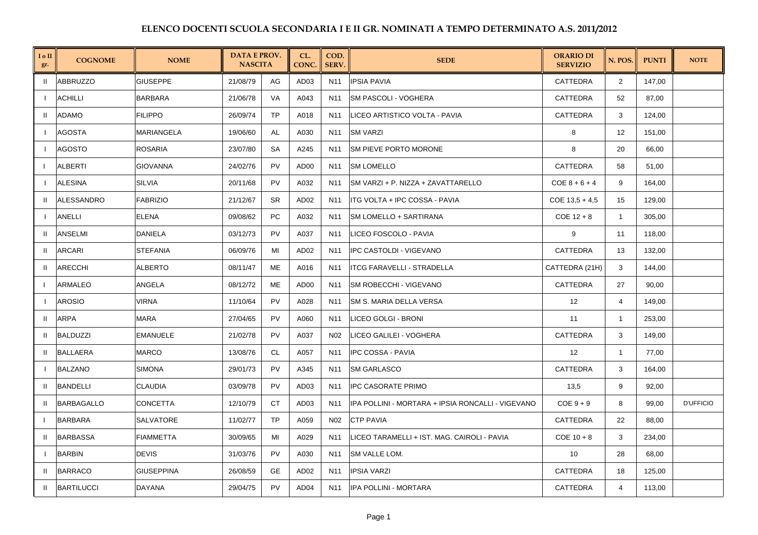| I o II<br>gr.  | <b>COGNOME</b>    | <b>NOME</b>       | <b>DATA E PROV.</b><br><b>NASCITA</b> |           | CL.<br>CONC.     | COD.<br>SERV.   | <b>SEDE</b>                                       | <b>ORARIO DI</b><br><b>SERVIZIO</b> | N. POS.        | <b>PUNTI</b> | <b>NOTE</b>      |
|----------------|-------------------|-------------------|---------------------------------------|-----------|------------------|-----------------|---------------------------------------------------|-------------------------------------|----------------|--------------|------------------|
| H.             | <b>ABBRUZZO</b>   | <b>GIUSEPPE</b>   | 21/08/79                              | AG        | AD <sub>03</sub> | N11             | <b>IPSIA PAVIA</b>                                | CATTEDRA                            | $\overline{2}$ | 147,00       |                  |
| $\overline{1}$ | <b>ACHILLI</b>    | <b>BARBARA</b>    | 21/06/78                              | VA        | A043             | N11             | <b>SM PASCOLI - VOGHERA</b>                       | CATTEDRA                            | 52             | 87,00        |                  |
| $\mathbf{H}$   | <b>ADAMO</b>      | <b>FILIPPO</b>    | 26/09/74                              | <b>TP</b> | A018             | N <sub>11</sub> | LICEO ARTISTICO VOLTA - PAVIA                     | CATTEDRA                            | 3              | 124,00       |                  |
|                | <b>AGOSTA</b>     | MARIANGELA        | 19/06/60                              | AL        | A030             | N11             | <b>SM VARZI</b>                                   | 8                                   | 12             | 151,00       |                  |
|                | <b>AGOSTO</b>     | <b>ROSARIA</b>    | 23/07/80                              | <b>SA</b> | A245             | N11             | <b>SM PIEVE PORTO MORONE</b>                      | 8                                   | 20             | 66,00        |                  |
|                | <b>ALBERTI</b>    | <b>GIOVANNA</b>   | 24/02/76                              | <b>PV</b> | AD00             | N11             | <b>SM LOMELLO</b>                                 | CATTEDRA                            | 58             | 51,00        |                  |
| $\mathbf{I}$   | <b>ALESINA</b>    | <b>SILVIA</b>     | 20/11/68                              | <b>PV</b> | A032             | N <sub>11</sub> | SM VARZI + P. NIZZA + ZAVATTARELLO                | $COE_8 + 6 + 4$                     | 9              | 164,00       |                  |
| $\mathbf{H}$   | ALESSANDRO        | <b>FABRIZIO</b>   | 21/12/67                              | <b>SR</b> | AD <sub>02</sub> | N <sub>11</sub> | ITG VOLTA + IPC COSSA - PAVIA                     | $COE$ 13,5 + 4,5                    | 15             | 129,00       |                  |
|                | ANELLI            | <b>ELENA</b>      | 09/08/62                              | PC        | A032             | N11             | <b>SM LOMELLO + SARTIRANA</b>                     | $COE$ 12 + 8                        | $\mathbf{1}$   | 305,00       |                  |
| $\mathbf{u}$   | ANSELMI           | DANIELA           | 03/12/73                              | <b>PV</b> | A037             | N11             | LICEO FOSCOLO - PAVIA                             | 9                                   | 11             | 118,00       |                  |
| H              | <b>ARCARI</b>     | <b>STEFANIA</b>   | 06/09/76                              | MI        | AD <sub>02</sub> | N <sub>11</sub> | IPC CASTOLDI - VIGEVANO                           | CATTEDRA                            | 13             | 132,00       |                  |
| $\mathbf{H}$   | <b>ARECCHI</b>    | <b>ALBERTO</b>    | 08/11/47                              | МE        | A016             | N11             | <b>ITCG FARAVELLI - STRADELLA</b>                 | CATTEDRA (21H)                      | 3              | 144,00       |                  |
| $\mathbf{I}$   | ARMALEO           | ANGELA            | 08/12/72                              | <b>ME</b> | AD00             | N11             | SM ROBECCHI - VIGEVANO                            | CATTEDRA                            | 27             | 90,00        |                  |
|                | <b>AROSIO</b>     | <b>VIRNA</b>      | 11/10/64                              | <b>PV</b> | A028             | N <sub>11</sub> | ISM S. MARIA DELLA VERSA                          | 12                                  | $\overline{4}$ | 149,00       |                  |
| $\mathbf{H}$   | ARPA              | MARA              | 27/04/65                              | <b>PV</b> | A060             | N11             | LICEO GOLGI - BRONI                               | 11                                  | $\mathbf{1}$   | 253,00       |                  |
| $\mathbf{H}$   | <b>BALDUZZI</b>   | <b>EMANUELE</b>   | 21/02/78                              | <b>PV</b> | A037             | N <sub>02</sub> | LICEO GALILEI - VOGHERA                           | CATTEDRA                            | 3              | 149,00       |                  |
|                | <b>BALLAERA</b>   | <b>MARCO</b>      | 13/08/76                              | <b>CL</b> | A057             | N <sub>11</sub> | IPC COSSA - PAVIA                                 | 12                                  | $\mathbf{1}$   | 77,00        |                  |
| $\mathbf{I}$   | <b>BALZANO</b>    | <b>SIMONA</b>     | 29/01/73                              | <b>PV</b> | A345             | N <sub>11</sub> | <b>SM GARLASCO</b>                                | CATTEDRA                            | 3              | 164,00       |                  |
| $\mathbf{H}$   | <b>BANDELLI</b>   | <b>CLAUDIA</b>    | 03/09/78                              | <b>PV</b> | AD <sub>03</sub> | N <sub>11</sub> | <b>IPC CASORATE PRIMO</b>                         | 13,5                                | 9              | 92,00        |                  |
| $\mathbf{H}$   | <b>BARBAGALLO</b> | <b>CONCETTA</b>   | 12/10/79                              | <b>CT</b> | AD <sub>03</sub> | N <sub>11</sub> | IPA POLLINI - MORTARA + IPSIA RONCALLI - VIGEVANO | $COE 9 + 9$                         | 8              | 99,00        | <b>D'UFFICIO</b> |
| $\mathbf{I}$   | <b>BARBARA</b>    | <b>SALVATORE</b>  | 11/02/77                              | <b>TP</b> | A059             | N02             | <b>CTP PAVIA</b>                                  | CATTEDRA                            | 22             | 88,00        |                  |
| $\mathbf{H}$   | <b>BARBASSA</b>   | <b>FIAMMETTA</b>  | 30/09/65                              | MI        | A029             | N11             | LICEO TARAMELLI + IST. MAG. CAIROLI - PAVIA       | $COE$ 10 + 8                        | 3              | 234,00       |                  |
| $\blacksquare$ | <b>BARBIN</b>     | <b>DEVIS</b>      | 31/03/76                              | <b>PV</b> | A030             | N <sub>11</sub> | SM VALLE LOM.                                     | 10                                  | 28             | 68,00        |                  |
| H.             | <b>BARRACO</b>    | <b>GIUSEPPINA</b> | 26/08/59                              | <b>GE</b> | AD <sub>02</sub> | N <sub>11</sub> | <b>IPSIA VARZI</b>                                | <b>CATTEDRA</b>                     | 18             | 125,00       |                  |
| Ш              | <b>BARTILUCCI</b> | DAYANA            | 29/04/75                              | PV        | AD <sub>04</sub> | N11             | IPA POLLINI - MORTARA                             | CATTEDRA                            | $\overline{4}$ | 113,00       |                  |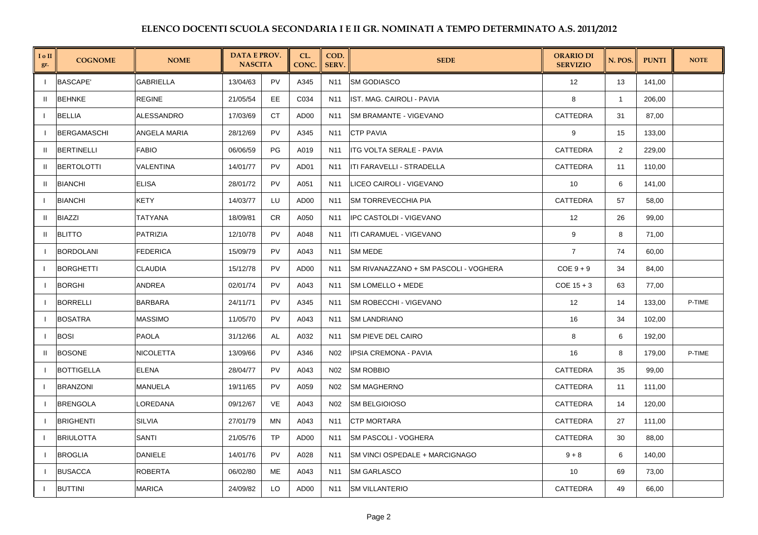| I o II<br>gr. | <b>COGNOME</b>     | <b>NOME</b>      | <b>DATA E PROV.</b><br><b>NASCITA</b> |           | CL.<br>CONC.     | COD.<br><b>SERV.</b> | <b>SEDE</b>                           | <b>ORARIO DI</b><br><b>SERVIZIO</b> | N. POS.      | <b>PUNTI</b> | <b>NOTE</b> |
|---------------|--------------------|------------------|---------------------------------------|-----------|------------------|----------------------|---------------------------------------|-------------------------------------|--------------|--------------|-------------|
| $\mathbf{I}$  | <b>BASCAPE</b>     | <b>GABRIELLA</b> | 13/04/63                              | <b>PV</b> | A345             | N <sub>11</sub>      | <b>SM GODIASCO</b>                    | 12                                  | 13           | 141,00       |             |
|               | <b>BEHNKE</b>      | <b>REGINE</b>    | 21/05/54                              | EE.       | C034             | N11                  | IST. MAG. CAIROLI - PAVIA             | 8                                   | $\mathbf{1}$ | 206,00       |             |
|               | <b>BELLIA</b>      | ALESSANDRO       | 17/03/69                              | <b>CT</b> | AD00             | N11                  | SM BRAMANTE - VIGEVANO                | CATTEDRA                            | 31           | 87,00        |             |
|               | <b>BERGAMASCHI</b> | ANGELA MARIA     | 28/12/69                              | <b>PV</b> | A345             | N <sub>11</sub>      | <b>CTP PAVIA</b>                      | 9                                   | 15           | 133,00       |             |
| $\mathbf{H}$  | <b>BERTINELLI</b>  | FABIO            | 06/06/59                              | <b>PG</b> | A019             | N11                  | <b>ITG VOLTA SERALE - PAVIA</b>       | CATTEDRA                            | 2            | 229,00       |             |
| $\mathbf{u}$  | <b>BERTOLOTTI</b>  | VALENTINA        | 14/01/77                              | <b>PV</b> | AD01             | N <sub>11</sub>      | ITI FARAVELLI - STRADELLA             | <b>CATTEDRA</b>                     | 11           | 110,00       |             |
| $\mathbf{H}$  | <b>BIANCHI</b>     | <b>ELISA</b>     | 28/01/72                              | <b>PV</b> | A051             | N11                  | ILICEO CAIROLI - VIGEVANO             | 10 <sup>°</sup>                     | 6            | 141,00       |             |
| $\mathbf{I}$  | <b>BIANCHI</b>     | KETY             | 14/03/77                              | LU        | AD <sub>00</sub> | N11                  | <b>SM TORREVECCHIA PIA</b>            | CATTEDRA                            | 57           | 58,00        |             |
| $\mathbf{H}$  | <b>BIAZZI</b>      | TATYANA          | 18/09/81                              | <b>CR</b> | A050             | N11                  | IPC CASTOLDI - VIGEVANO               | 12                                  | 26           | 99,00        |             |
| $\mathbf{H}$  | <b>BLITTO</b>      | PATRIZIA         | 12/10/78                              | <b>PV</b> | A048             | N11                  | ITI CARAMUEL - VIGEVANO               | 9                                   | 8            | 71,00        |             |
| -1            | <b>BORDOLANI</b>   | <b>FEDERICA</b>  | 15/09/79                              | <b>PV</b> | A043             | N11                  | <b>SM MEDE</b>                        | $\overline{7}$                      | 74           | 60,00        |             |
|               | <b>BORGHETTI</b>   | CLAUDIA          | 15/12/78                              | <b>PV</b> | AD00             | N11                  | SM RIVANAZZANO + SM PASCOLI - VOGHERA | $COE 9 + 9$                         | 34           | 84,00        |             |
| $\mathbf{I}$  | <b>BORGHI</b>      | ANDREA           | 02/01/74                              | <b>PV</b> | A043             | N11                  | SM LOMELLO + MEDE                     | $COE$ 15 + 3                        | 63           | 77,00        |             |
| - 1           | <b>BORRELLI</b>    | BARBARA          | 24/11/71                              | <b>PV</b> | A345             | N11                  | SM ROBECCHI - VIGEVANO                | 12                                  | 14           | 133,00       | P-TIME      |
| $\mathbf{I}$  | <b>BOSATRA</b>     | <b>MASSIMO</b>   | 11/05/70                              | <b>PV</b> | A043             | N <sub>11</sub>      | <b>SM LANDRIANO</b>                   | 16                                  | 34           | 102,00       |             |
| $\mathbf{I}$  | <b>BOSI</b>        | <b>PAOLA</b>     | 31/12/66                              | AL        | A032             | N11                  | <b>SM PIEVE DEL CAIRO</b>             | 8                                   | 6            | 192.00       |             |
| H.            | <b>BOSONE</b>      | NICOLETTA        | 13/09/66                              | <b>PV</b> | A346             | N02                  | <b>IPSIA CREMONA - PAVIA</b>          | 16                                  | 8            | 179,00       | P-TIME      |
| $\mathbf{I}$  | <b>BOTTIGELLA</b>  | <b>ELENA</b>     | 28/04/77                              | <b>PV</b> | A043             | N <sub>02</sub>      | <b>SM ROBBIO</b>                      | CATTEDRA                            | 35           | 99,00        |             |
|               | <b>BRANZONI</b>    | MANUELA          | 19/11/65                              | <b>PV</b> | A059             | N <sub>02</sub>      | <b>SM MAGHERNO</b>                    | <b>CATTEDRA</b>                     | 11           | 111,00       |             |
|               | <b>BRENGOLA</b>    | LOREDANA         | 09/12/67                              | VE        | A043             | N02                  | <b>SM BELGIOIOSO</b>                  | CATTEDRA                            | 14           | 120,00       |             |
| - 1           | <b>BRIGHENTI</b>   | SILVIA           | 27/01/79                              | MN        | A043             | N11                  | <b>CTP MORTARA</b>                    | <b>CATTEDRA</b>                     | 27           | 111,00       |             |
|               | <b>BRIULOTTA</b>   | SANTI            | 21/05/76                              | TP        | AD <sub>00</sub> | N11                  | <b>SM PASCOLI - VOGHERA</b>           | CATTEDRA                            | 30           | 88,00        |             |
| $\mathbf{I}$  | <b>BROGLIA</b>     | <b>DANIELE</b>   | 14/01/76                              | <b>PV</b> | A028             | N11                  | SM VINCI OSPEDALE + MARCIGNAGO        | $9 + 8$                             | 6            | 140,00       |             |
| - 1           | <b>BUSACCA</b>     | <b>ROBERTA</b>   | 06/02/80                              | ME        | A043             | N11                  | <b>SM GARLASCO</b>                    | 10                                  | 69           | 73,00        |             |
|               | <b>BUTTINI</b>     | <b>MARICA</b>    | 24/09/82                              | LO        | AD00             | N11                  | <b>SM VILLANTERIO</b>                 | <b>CATTEDRA</b>                     | 49           | 66,00        |             |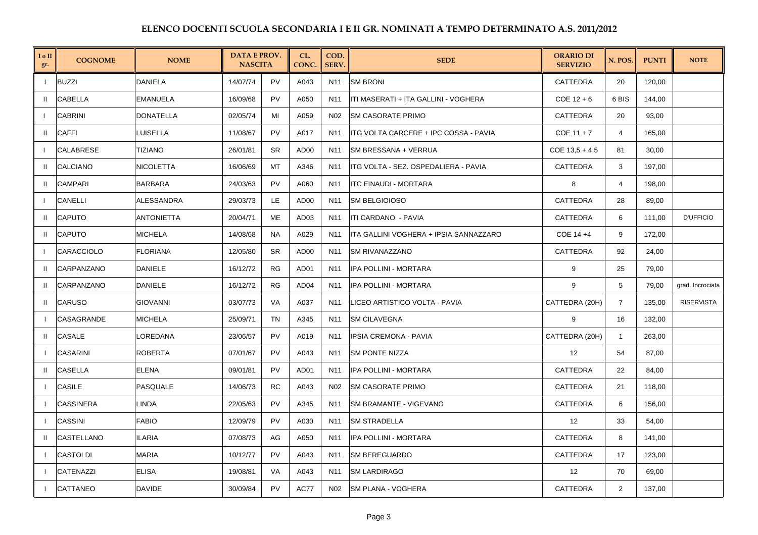| I o II<br>gr. | <b>COGNOME</b>   | <b>NOME</b>       | <b>DATA E PROV.</b><br><b>NASCITA</b> |           | CL.<br>CONC.     | COD.<br><b>SERV</b> | <b>SEDE</b>                            | <b>ORARIO DI</b><br><b>SERVIZIO</b> | N. POS.        | <b>PUNTI</b> | <b>NOTE</b>       |
|---------------|------------------|-------------------|---------------------------------------|-----------|------------------|---------------------|----------------------------------------|-------------------------------------|----------------|--------------|-------------------|
|               | <b>BUZZI</b>     | <b>DANIELA</b>    | 14/07/74                              | PV        | A043             | N11                 | <b>SM BRONI</b>                        | CATTEDRA                            | 20             | 120,00       |                   |
| H             | <b>CABELLA</b>   | <b>EMANUELA</b>   | 16/09/68                              | PV        | A050             | N11                 | ITI MASERATI + ITA GALLINI - VOGHERA   | $COE$ 12 + 6                        | 6 BIS          | 144,00       |                   |
| $\mathbf{I}$  | <b>CABRINI</b>   | <b>DONATELLA</b>  | 02/05/74                              | MI        | A059             | N02                 | <b>SM CASORATE PRIMO</b>               | CATTEDRA                            | 20             | 93,00        |                   |
| $\mathbf{H}$  | <b>CAFFI</b>     | LUISELLA          | 11/08/67                              | PV        | A017             | N11                 | ITG VOLTA CARCERE + IPC COSSA - PAVIA  | $COE$ 11 + 7                        | $\overline{4}$ | 165,00       |                   |
| $\mathbf{I}$  | CALABRESE        | TIZIANO           | 26/01/81                              | <b>SR</b> | AD00             | N11                 | SM BRESSANA + VERRUA                   | $COE$ 13,5 + 4,5                    | 81             | 30,00        |                   |
| $\mathbf{H}$  | <b>CALCIANO</b>  | NICOLETTA         | 16/06/69                              | <b>MT</b> | A346             | N <sub>11</sub>     | ITG VOLTA - SEZ. OSPEDALIERA - PAVIA   | <b>CATTEDRA</b>                     | 3              | 197.00       |                   |
| $\mathbf{H}$  | <b>CAMPARI</b>   | <b>BARBARA</b>    | 24/03/63                              | PV        | A060             | N11                 | <b>ITC EINAUDI - MORTARA</b>           | 8                                   | $\overline{4}$ | 198,00       |                   |
| $\perp$       | <b>CANELLI</b>   | <b>ALESSANDRA</b> | 29/03/73                              | LE        | AD00             | N11                 | <b>SM BELGIOIOSO</b>                   | <b>CATTEDRA</b>                     | 28             | 89,00        |                   |
| $\mathbf{H}$  | <b>CAPUTO</b>    | <b>ANTONIETTA</b> | 20/04/71                              | ME        | AD03             | N11                 | ITI CARDANO - PAVIA                    | CATTEDRA                            | 6              | 111,00       | <b>D'UFFICIO</b>  |
| $\mathbf{H}$  | <b>CAPUTO</b>    | <b>MICHELA</b>    | 14/08/68                              | <b>NA</b> | A029             | N11                 | ITA GALLINI VOGHERA + IPSIA SANNAZZARO | COE 14 +4                           | 9              | 172,00       |                   |
| $\mathbf{I}$  | CARACCIOLO       | <b>FLORIANA</b>   | 12/05/80                              | <b>SR</b> | AD00             | N11                 | <b>SM RIVANAZZANO</b>                  | CATTEDRA                            | 92             | 24,00        |                   |
| $\mathbf{H}$  | CARPANZANO       | <b>DANIELE</b>    | 16/12/72                              | <b>RG</b> | AD01             | N <sub>11</sub>     | <b>IPA POLLINI - MORTARA</b>           | 9                                   | 25             | 79,00        |                   |
| $\mathbf{H}$  | CARPANZANO       | <b>DANIELE</b>    | 16/12/72                              | <b>RG</b> | AD <sub>04</sub> | N11                 | IPA POLLINI - MORTARA                  | 9                                   | 5              | 79,00        | grad. Incrociata  |
| $\mathbf{I}$  | <b>CARUSO</b>    | <b>GIOVANNI</b>   | 03/07/73                              | VA        | A037             | N11                 | LICEO ARTISTICO VOLTA - PAVIA          | CATTEDRA (20H)                      | $\overline{7}$ | 135,00       | <b>RISERVISTA</b> |
|               | CASAGRANDE       | MICHELA           | 25/09/71                              | TN        | A345             | N11                 | <b>SM CILAVEGNA</b>                    | 9                                   | 16             | 132,00       |                   |
| $\mathbf{H}$  | CASALE           | LOREDANA          | 23/06/57                              | <b>PV</b> | A019             | N <sub>11</sub>     | IPSIA CREMONA - PAVIA                  | CATTEDRA (20H)                      | $\mathbf{1}$   | 263,00       |                   |
|               | <b>CASARINI</b>  | ROBERTA           | 07/01/67                              | <b>PV</b> | A043             | N11                 | <b>ISM PONTE NIZZA</b>                 | 12                                  | 54             | 87,00        |                   |
| H             | <b>CASELLA</b>   | <b>ELENA</b>      | 09/01/81                              | PV        | AD01             | N <sub>11</sub>     | IPA POLLINI - MORTARA                  | <b>CATTEDRA</b>                     | 22             | 84,00        |                   |
|               | CASILE           | <b>PASQUALE</b>   | 14/06/73                              | <b>RC</b> | A043             | N02                 | <b>SM CASORATE PRIMO</b>               | CATTEDRA                            | 21             | 118,00       |                   |
|               | <b>CASSINERA</b> | LINDA             | 22/05/63                              | PV        | A345             | N11                 | SM BRAMANTE - VIGEVANO                 | CATTEDRA                            | 6              | 156,00       |                   |
|               | <b>CASSINI</b>   | <b>FABIO</b>      | 12/09/79                              | <b>PV</b> | A030             | N11                 | <b>SM STRADELLA</b>                    | 12                                  | 33             | 54,00        |                   |
| $\mathbf{H}$  | CASTELLANO       | <b>ILARIA</b>     | 07/08/73                              | AG        | A050             | N <sub>11</sub>     | <b>IPA POLLINI - MORTARA</b>           | CATTEDRA                            | 8              | 141,00       |                   |
|               | <b>CASTOLDI</b>  | <b>MARIA</b>      | 10/12/77                              | PV        | A043             | N11                 | SM BEREGUARDO                          | CATTEDRA                            | 17             | 123,00       |                   |
|               | CATENAZZI        | <b>ELISA</b>      | 19/08/81                              | VA        | A043             | N11                 | <b>SM LARDIRAGO</b>                    | 12                                  | 70             | 69,00        |                   |
|               | CATTANEO         | <b>DAVIDE</b>     | 30/09/84                              | PV        | AC77             | N02                 | <b>SM PLANA - VOGHERA</b>              | CATTEDRA                            | 2              | 137,00       |                   |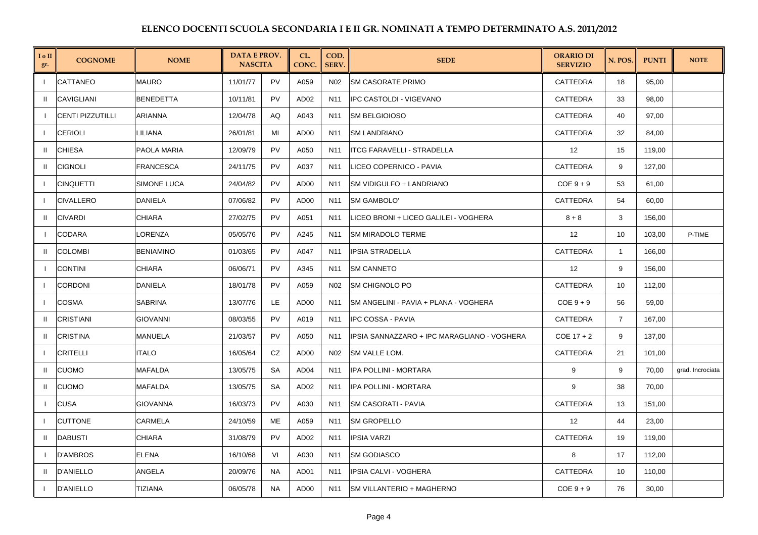| I o II<br>gr. | <b>COGNOME</b>          | <b>NOME</b>      | <b>DATA E PROV.</b><br><b>NASCITA</b> |           | CL.<br>CONC.     | COD.<br>SERV.   | <b>SEDE</b>                                 | <b>ORARIO DI</b><br><b>SERVIZIO</b> | N. POS.        | <b>PUNTI</b> | <b>NOTE</b>      |
|---------------|-------------------------|------------------|---------------------------------------|-----------|------------------|-----------------|---------------------------------------------|-------------------------------------|----------------|--------------|------------------|
| $\mathbf{I}$  | CATTANEO                | <b>MAURO</b>     | 11/01/77                              | PV        | A059             | N02             | <b>SM CASORATE PRIMO</b>                    | CATTEDRA                            | 18             | 95,00        |                  |
| $\mathbf{H}$  | <b>CAVIGLIANI</b>       | <b>BENEDETTA</b> | 10/11/81                              | PV        | AD <sub>02</sub> | N11             | <b>IPC CASTOLDI - VIGEVANO</b>              | CATTEDRA                            | 33             | 98,00        |                  |
|               | <b>CENTI PIZZUTILLI</b> | <b>ARIANNA</b>   | 12/04/78                              | AQ        | A043             | N11             | <b>SM BELGIOIOSO</b>                        | CATTEDRA                            | 40             | 97,00        |                  |
|               | <b>CERIOLI</b>          | LILIANA          | 26/01/81                              | MI        | AD <sub>00</sub> | N11             | <b>SM LANDRIANO</b>                         | CATTEDRA                            | 32             | 84,00        |                  |
| Ш             | <b>CHIESA</b>           | PAOLA MARIA      | 12/09/79                              | PV        | A050             | N11             | <b>ITCG FARAVELLI - STRADELLA</b>           | 12                                  | 15             | 119,00       |                  |
| -II           | <b>CIGNOLI</b>          | <b>FRANCESCA</b> | 24/11/75                              | PV        | A037             | N <sub>11</sub> | LICEO COPERNICO - PAVIA                     | <b>CATTEDRA</b>                     | 9              | 127.00       |                  |
|               | <b>CINQUETTI</b>        | SIMONE LUCA      | 24/04/82                              | PV        | AD <sub>00</sub> | N11             | <b>ISM VIDIGULFO + LANDRIANO</b>            | $COE 9 + 9$                         | 53             | 61,00        |                  |
| -1            | <b>CIVALLERO</b>        | <b>DANIELA</b>   | 07/06/82                              | PV        | AD00             | N11             | <b>SM GAMBOLO'</b>                          | CATTEDRA                            | 54             | 60,00        |                  |
| -II           | <b>CIVARDI</b>          | <b>CHIARA</b>    | 27/02/75                              | PV        | A051             | N11             | LICEO BRONI + LICEO GALILEI - VOGHERA       | $8 + 8$                             | 3              | 156,00       |                  |
|               | <b>CODARA</b>           | LORENZA          | 05/05/76                              | PV        | A245             | N11             | <b>SM MIRADOLO TERME</b>                    | 12                                  | 10             | 103,00       | P-TIME           |
| $\mathbf{H}$  | <b>COLOMBI</b>          | <b>BENIAMINO</b> | 01/03/65                              | PV        | A047             | N <sub>11</sub> | <b>IPSIA STRADELLA</b>                      | <b>CATTEDRA</b>                     | $\overline{1}$ | 166,00       |                  |
|               | <b>CONTINI</b>          | <b>CHIARA</b>    | 06/06/71                              | PV        | A345             | N11             | <b>SM CANNETO</b>                           | 12                                  | 9              | 156,00       |                  |
| $\mathbf{I}$  | <b>CORDONI</b>          | <b>DANIELA</b>   | 18/01/78                              | PV        | A059             | N <sub>02</sub> | <b>SM CHIGNOLO PO</b>                       | CATTEDRA                            | 10             | 112,00       |                  |
| $\mathbf{I}$  | <b>COSMA</b>            | <b>SABRINA</b>   | 13/07/76                              | LE.       | AD00             | N11             | ISM ANGELINI - PAVIA + PLANA - VOGHERA      | $COE 9 + 9$                         | 56             | 59,00        |                  |
| $\mathbf{H}$  | <b>CRISTIANI</b>        | <b>GIOVANNI</b>  | 08/03/55                              | PV        | A019             | N11             | <b>IPC COSSA - PAVIA</b>                    | CATTEDRA                            | 7              | 167,00       |                  |
| -II           | <b>CRISTINA</b>         | <b>MANUELA</b>   | 21/03/57                              | PV        | A050             | N <sub>11</sub> | IPSIA SANNAZZARO + IPC MARAGLIANO - VOGHERA | $COE$ 17 + 2                        | 9              | 137,00       |                  |
|               | <b>CRITELLI</b>         | <b>ITALO</b>     | 16/05/64                              | CZ        | AD00             | N02             | <b>SM VALLE LOM.</b>                        | CATTEDRA                            | 21             | 101,00       |                  |
| Ш             | <b>CUOMO</b>            | <b>MAFALDA</b>   | 13/05/75                              | <b>SA</b> | AD <sub>04</sub> | N11             | <b>IPA POLLINI - MORTARA</b>                | 9                                   | 9              | 70,00        | grad. Incrociata |
| H.            | <b>CUOMO</b>            | <b>MAFALDA</b>   | 13/05/75                              | <b>SA</b> | AD <sub>02</sub> | N11             | <b>IPA POLLINI - MORTARA</b>                | 9                                   | 38             | 70,00        |                  |
|               | <b>CUSA</b>             | <b>GIOVANNA</b>  | 16/03/73                              | PV        | A030             | N11             | ISM CASORATI - PAVIA                        | CATTEDRA                            | 13             | 151,00       |                  |
| - 1           | <b>CUTTONE</b>          | CARMELA          | 24/10/59                              | ME        | A059             | N11             | <b>SM GROPELLO</b>                          | 12                                  | 44             | 23,00        |                  |
| -II           | <b>DABUSTI</b>          | <b>CHIARA</b>    | 31/08/79                              | PV        | AD <sub>02</sub> | N11             | <b>IPSIA VARZI</b>                          | CATTEDRA                            | 19             | 119,00       |                  |
|               | <b>D'AMBROS</b>         | <b>ELENA</b>     | 16/10/68                              | VI        | A030             | N11             | <b>SM GODIASCO</b>                          | 8                                   | 17             | 112,00       |                  |
| H.            | <b>D'ANIELLO</b>        | ANGELA           | 20/09/76                              | <b>NA</b> | AD01             | N11             | IPSIA CALVI - VOGHERA                       | CATTEDRA                            | 10             | 110,00       |                  |
|               | <b>D'ANIELLO</b>        | TIZIANA          | 06/05/78                              | <b>NA</b> | AD <sub>00</sub> | N11             | <b>SM VILLANTERIO + MAGHERNO</b>            | $COE 9 + 9$                         | 76             | 30,00        |                  |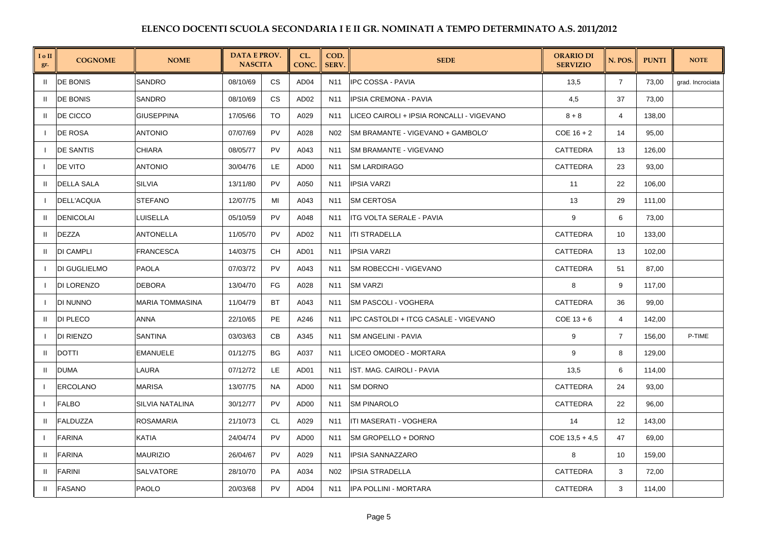| I o II<br>gr. | <b>COGNOME</b>      | <b>NOME</b>            | <b>DATA E PROV.</b><br><b>NASCITA</b> |           | CL.<br>CONC.     | COD.<br>SERV.   | <b>SEDE</b>                               | <b>ORARIO DI</b><br><b>SERVIZIO</b> | N. POS.                 | <b>PUNTI</b> | <b>NOTE</b>      |
|---------------|---------------------|------------------------|---------------------------------------|-----------|------------------|-----------------|-------------------------------------------|-------------------------------------|-------------------------|--------------|------------------|
| $\mathbf{H}$  | <b>DE BONIS</b>     | SANDRO                 | 08/10/69                              | <b>CS</b> | AD <sub>04</sub> | N11             | <b>IPC COSSA - PAVIA</b>                  | 13,5                                | $\overline{7}$          | 73,00        | grad. Incrociata |
| Ш             | <b>DE BONIS</b>     | <b>SANDRO</b>          | 08/10/69                              | <b>CS</b> | AD <sub>02</sub> | N <sub>11</sub> | <b>IPSIA CREMONA - PAVIA</b>              | 4,5                                 | 37                      | 73,00        |                  |
| $\mathbf{H}$  | DE CICCO            | <b>GIUSEPPINA</b>      | 17/05/66                              | TO        | A029             | N11             | LICEO CAIROLI + IPSIA RONCALLI - VIGEVANO | $8 + 8$                             | $\overline{\mathbf{4}}$ | 138,00       |                  |
|               | DE ROSA             | <b>ANTONIO</b>         | 07/07/69                              | PV        | A028             | N <sub>02</sub> | SM BRAMANTE - VIGEVANO + GAMBOLO'         | $COE$ 16 + 2                        | 14                      | 95,00        |                  |
|               | <b>DE SANTIS</b>    | CHIARA                 | 08/05/77                              | PV        | A043             | N11             | SM BRAMANTE - VIGEVANO                    | CATTEDRA                            | 13                      | 126,00       |                  |
| $\mathbf{I}$  | DE VITO             | <b>ANTONIO</b>         | 30/04/76                              | LE.       | AD00             | N <sub>11</sub> | <b>SM LARDIRAGO</b>                       | <b>CATTEDRA</b>                     | 23                      | 93,00        |                  |
|               | <b>DELLA SALA</b>   | <b>SILVIA</b>          | 13/11/80                              | PV        | A050             | N11             | <b>IPSIA VARZI</b>                        | 11                                  | 22                      | 106,00       |                  |
|               | DELL'ACQUA          | <b>STEFANO</b>         | 12/07/75                              | MI        | A043             | N11             | <b>SM CERTOSA</b>                         | 13                                  | 29                      | 111,00       |                  |
| $\mathbf{H}$  | <b>DENICOLAI</b>    | LUISELLA               | 05/10/59                              | PV        | A048             | N11             | ITG VOLTA SERALE - PAVIA                  | 9                                   | 6                       | 73,00        |                  |
| $\mathbf{H}$  | <b>DEZZA</b>        | ANTONELLA              | 11/05/70                              | <b>PV</b> | AD <sub>02</sub> | N <sub>11</sub> | <b>ITI STRADELLA</b>                      | CATTEDRA                            | 10                      | 133,00       |                  |
| $\mathbf{H}$  | <b>DI CAMPLI</b>    | <b>FRANCESCA</b>       | 14/03/75                              | <b>CH</b> | AD01             | N11             | <b>IPSIA VARZI</b>                        | CATTEDRA                            | 13                      | 102,00       |                  |
|               | <b>DI GUGLIELMO</b> | <b>PAOLA</b>           | 07/03/72                              | PV        | A043             | N11             | <b>SM ROBECCHI - VIGEVANO</b>             | CATTEDRA                            | 51                      | 87,00        |                  |
|               | <b>DI LORENZO</b>   | <b>DEBORA</b>          | 13/04/70                              | FG        | A028             | N11             | <b>SM VARZI</b>                           | 8                                   | 9                       | 117,00       |                  |
|               | DI NUNNO            | <b>MARIA TOMMASINA</b> | 11/04/79                              | BT        | A043             | N11             | SM PASCOLI - VOGHERA                      | CATTEDRA                            | 36                      | 99,00        |                  |
| $\mathbf{H}$  | <b>DI PLECO</b>     | ANNA                   | 22/10/65                              | PE        | A246             | N <sub>11</sub> | IPC CASTOLDI + ITCG CASALE - VIGEVANO     | $COE$ 13 + 6                        | $\overline{4}$          | 142,00       |                  |
|               | <b>DI RIENZO</b>    | SANTINA                | 03/03/63                              | <b>CB</b> | A345             | N11             | SM ANGELINI - PAVIA                       | 9                                   | $\overline{7}$          | 156.00       | P-TIME           |
| $\mathbf{H}$  | <b>DOTTI</b>        | <b>EMANUELE</b>        | 01/12/75                              | BG        | A037             | N11             | LICEO OMODEO - MORTARA                    | 9                                   | 8                       | 129,00       |                  |
| $\mathbf{I}$  | <b>DUMA</b>         | LAURA                  | 07/12/72                              | LE        | AD01             | N11             | IST. MAG. CAIROLI - PAVIA                 | 13,5                                | 6                       | 114,00       |                  |
| $\mathbf{I}$  | <b>ERCOLANO</b>     | MARISA                 | 13/07/75                              | <b>NA</b> | AD <sub>00</sub> | N <sub>11</sub> | <b>SM DORNO</b>                           | <b>CATTEDRA</b>                     | 24                      | 93,00        |                  |
| $\mathbf{I}$  | <b>FALBO</b>        | SILVIA NATALINA        | 30/12/77                              | PV        | AD00             | N11             | <b>SM PINAROLO</b>                        | CATTEDRA                            | 22                      | 96,00        |                  |
| $\mathbf{H}$  | <b>FALDUZZA</b>     | ROSAMARIA              | 21/10/73                              | CL        | A029             | N <sub>11</sub> | ITI MASERATI - VOGHERA                    | 14                                  | 12                      | 143,00       |                  |
|               | <b>FARINA</b>       | KATIA                  | 24/04/74                              | PV        | AD00             | N11             | <b>SM GROPELLO + DORNO</b>                | $COE$ 13,5 + 4,5                    | 47                      | 69,00        |                  |
| $\mathbf{H}$  | <b>FARINA</b>       | <b>MAURIZIO</b>        | 26/04/67                              | PV        | A029             | N11             | <b>IPSIA SANNAZZARO</b>                   | 8                                   | 10                      | 159,00       |                  |
| $\mathbf{I}$  | <b>FARINI</b>       | <b>SALVATORE</b>       | 28/10/70                              | PA        | A034             | N <sub>02</sub> | <b>IPSIA STRADELLA</b>                    | <b>CATTEDRA</b>                     | 3                       | 72,00        |                  |
| $\mathbf{I}$  | <b>FASANO</b>       | PAOLO                  | 20/03/68                              | <b>PV</b> | AD <sub>04</sub> | N <sub>11</sub> | IPA POLLINI - MORTARA                     | <b>CATTEDRA</b>                     | 3                       | 114,00       |                  |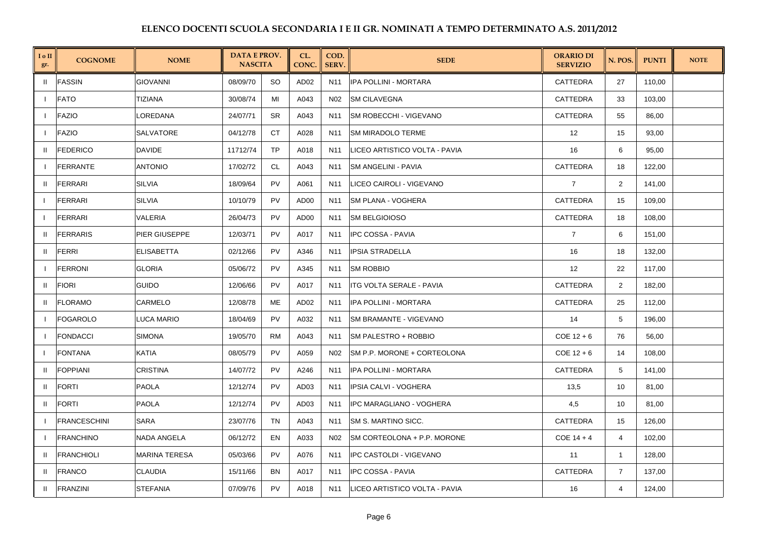| I o II<br>gr. | <b>COGNOME</b>      | <b>NOME</b>          | <b>DATA E PROV.</b><br><b>NASCITA</b> |           | CL.<br>CONC.     | COD.<br><b>SERV.</b> | <b>SEDE</b>                     | <b>ORARIO DI</b><br><b>SERVIZIO</b> | N. POS.        | <b>PUNTI</b> | <b>NOTE</b> |
|---------------|---------------------|----------------------|---------------------------------------|-----------|------------------|----------------------|---------------------------------|-------------------------------------|----------------|--------------|-------------|
| $\mathbf{H}$  | <b>FASSIN</b>       | <b>GIOVANNI</b>      | 08/09/70                              | <b>SO</b> | AD <sub>02</sub> | N11                  | IPA POLLINI - MORTARA           | <b>CATTEDRA</b>                     | 27             | 110,00       |             |
|               | <b>FATO</b>         | TIZIANA              | 30/08/74                              | MI        | A043             | N02                  | <b>SM CILAVEGNA</b>             | CATTEDRA                            | 33             | 103,00       |             |
| $\mathbf{I}$  | <b>FAZIO</b>        | LOREDANA             | 24/07/71                              | <b>SR</b> | A043             | N11                  | SM ROBECCHI - VIGEVANO          | <b>CATTEDRA</b>                     | 55             | 86,00        |             |
|               | <b>FAZIO</b>        | SALVATORE            | 04/12/78                              | CT.       | A028             | N11                  | <b>SM MIRADOLO TERME</b>        | 12                                  | 15             | 93,00        |             |
| $\mathbf{H}$  | <b>FEDERICO</b>     | DAVIDE               | 11712/74                              | <b>TP</b> | A018             | N11                  | LICEO ARTISTICO VOLTA - PAVIA   | 16                                  | 6              | 95,00        |             |
| $\mathbf{I}$  | <b>FERRANTE</b>     | <b>ANTONIO</b>       | 17/02/72                              | CL        | A043             | N11                  | <b>SM ANGELINI - PAVIA</b>      | <b>CATTEDRA</b>                     | 18             | 122,00       |             |
| H.            | <b>FERRARI</b>      | <b>SILVIA</b>        | 18/09/64                              | <b>PV</b> | A061             | N11                  | LICEO CAIROLI - VIGEVANO        | $\overline{7}$                      | $\overline{2}$ | 141,00       |             |
| $\mathbf{I}$  | <b>FERRARI</b>      | <b>SILVIA</b>        | 10/10/79                              | PV        | AD <sub>00</sub> | N11                  | <b>SM PLANA - VOGHERA</b>       | <b>CATTEDRA</b>                     | 15             | 109,00       |             |
|               | <b>FERRARI</b>      | VALERIA              | 26/04/73                              | <b>PV</b> | AD00             | N11                  | <b>SM BELGIOIOSO</b>            | <b>CATTEDRA</b>                     | 18             | 108,00       |             |
| $\mathbf{H}$  | <b>FERRARIS</b>     | PIER GIUSEPPE        | 12/03/71                              | <b>PV</b> | A017             | N11                  | <b>IPC COSSA - PAVIA</b>        | $\overline{7}$                      | 6              | 151,00       |             |
| $\mathbf{u}$  | <b>FERRI</b>        | <b>ELISABETTA</b>    | 02/12/66                              | PV        | A346             | N <sub>11</sub>      | <b>IPSIA STRADELLA</b>          | 16                                  | 18             | 132,00       |             |
|               | <b>FERRONI</b>      | <b>GLORIA</b>        | 05/06/72                              | <b>PV</b> | A345             | N11                  | <b>SM ROBBIO</b>                | 12                                  | 22             | 117,00       |             |
| $\mathbf{H}$  | <b>FIORI</b>        | <b>GUIDO</b>         | 12/06/66                              | <b>PV</b> | A017             | N11                  | <b>ITG VOLTA SERALE - PAVIA</b> | CATTEDRA                            | 2              | 182,00       |             |
| $\mathbf{u}$  | <b>FLORAMO</b>      | CARMELO              | 12/08/78                              | ME        | AD <sub>02</sub> | N11                  | <b>IPA POLLINI - MORTARA</b>    | <b>CATTEDRA</b>                     | 25             | 112,00       |             |
|               | <b>FOGAROLO</b>     | <b>LUCA MARIO</b>    | 18/04/69                              | <b>PV</b> | A032             | N11                  | SM BRAMANTE - VIGEVANO          | 14                                  | 5              | 196,00       |             |
| $\mathbf{I}$  | <b>FONDACCI</b>     | SIMONA               | 19/05/70                              | <b>RM</b> | A043             | N <sub>11</sub>      | SM PALESTRO + ROBBIO            | $COE$ 12 + 6                        | 76             | 56,00        |             |
|               | <b>FONTANA</b>      | KATIA                | 08/05/79                              | <b>PV</b> | A059             | N02                  | SM P.P. MORONE + CORTEOLONA     | $COE$ 12 + 6                        | 14             | 108,00       |             |
| $\mathbf{H}$  | <b>FOPPIANI</b>     | <b>CRISTINA</b>      | 14/07/72                              | <b>PV</b> | A246             | N11                  | IPA POLLINI - MORTARA           | CATTEDRA                            | 5              | 141,00       |             |
| H.            | <b>FORTI</b>        | <b>PAOLA</b>         | 12/12/74                              | <b>PV</b> | AD <sub>03</sub> | N <sub>11</sub>      | <b>IPSIA CALVI - VOGHERA</b>    | 13,5                                | 10             | 81,00        |             |
| Ш             | <b>FORTI</b>        | PAOLA                | 12/12/74                              | PV        | AD03             | N11                  | <b>IPC MARAGLIANO - VOGHERA</b> | 4,5                                 | 10             | 81,00        |             |
| - 1           | <b>FRANCESCHINI</b> | SARA                 | 23/07/76                              | <b>TN</b> | A043             | N <sub>11</sub>      | SM S. MARTINO SICC.             | CATTEDRA                            | 15             | 126,00       |             |
|               | <b>FRANCHINO</b>    | NADA ANGELA          | 06/12/72                              | EN        | A033             | N02                  | SM CORTEOLONA + P.P. MORONE     | $COE$ 14 + 4                        | 4              | 102,00       |             |
| H.            | <b>FRANCHIOLI</b>   | <b>MARINA TERESA</b> | 05/03/66                              | <b>PV</b> | A076             | N11                  | IPC CASTOLDI - VIGEVANO         | 11                                  | $\mathbf{1}$   | 128,00       |             |
| H.            | <b>FRANCO</b>       | <b>CLAUDIA</b>       | 15/11/66                              | <b>BN</b> | A017             | N11                  | IPC COSSA - PAVIA               | <b>CATTEDRA</b>                     | $\overline{7}$ | 137,00       |             |
| $\mathbf{H}$  | <b>FRANZINI</b>     | <b>STEFANIA</b>      | 07/09/76                              | <b>PV</b> | A018             | N <sub>11</sub>      | LICEO ARTISTICO VOLTA - PAVIA   | 16                                  | 4              | 124,00       |             |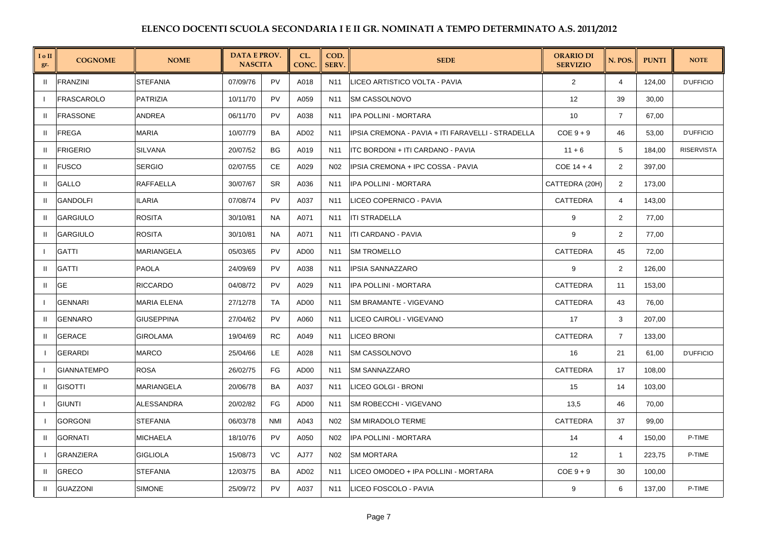| I o II<br>gr. | <b>COGNOME</b>     | <b>NOME</b>        | <b>DATA E PROV.</b><br><b>NASCITA</b> |            | CL.<br>CONC.     | COD.<br><b>SERV</b> | <b>SEDE</b>                                       | <b>ORARIO DI</b><br><b>SERVIZIO</b> | N. POS.        | <b>PUNTI</b> | <b>NOTE</b>       |
|---------------|--------------------|--------------------|---------------------------------------|------------|------------------|---------------------|---------------------------------------------------|-------------------------------------|----------------|--------------|-------------------|
| -II           | <b>FRANZINI</b>    | <b>STEFANIA</b>    | 07/09/76                              | <b>PV</b>  | A018             | N <sub>11</sub>     | LICEO ARTISTICO VOLTA - PAVIA                     | 2                                   | 4              | 124.00       | <b>D'UFFICIO</b>  |
|               | FRASCAROLO         | PATRIZIA           | 10/11/70                              | <b>PV</b>  | A059             | N11                 | <b>SM CASSOLNOVO</b>                              | 12                                  | 39             | 30,00        |                   |
| $\mathbf{H}$  | <b>FRASSONE</b>    | ANDREA             | 06/11/70                              | <b>PV</b>  | A038             | N <sub>11</sub>     | IPA POLLINI - MORTARA                             | 10                                  | $\overline{7}$ | 67,00        |                   |
| -II           | <b>FREGA</b>       | <b>MARIA</b>       | 10/07/79                              | BA         | AD <sub>02</sub> | N <sub>11</sub>     | IPSIA CREMONA - PAVIA + ITI FARAVELLI - STRADELLA | $COE9 + 9$                          | 46             | 53,00        | <b>D'UFFICIO</b>  |
| $\mathbf{H}$  | <b>FRIGERIO</b>    | SILVANA            | 20/07/52                              | BG         | A019             | N11                 | ITC BORDONI + ITI CARDANO - PAVIA                 | $11 + 6$                            | 5              | 184,00       | <b>RISERVISTA</b> |
| -II           | <b>FUSCO</b>       | <b>SERGIO</b>      | 02/07/55                              | <b>CE</b>  | A029             | N <sub>02</sub>     | IPSIA CREMONA + IPC COSSA - PAVIA                 | $COE$ 14 + 4                        | 2              | 397.00       |                   |
| Ш.            | GALLO              | RAFFAELLA          | 30/07/67                              | SR         | A036             | N11                 | IPA POLLINI - MORTARA                             | CATTEDRA (20H)                      | 2              | 173,00       |                   |
| $\mathbf{H}$  | <b>GANDOLFI</b>    | ILARIA             | 07/08/74                              | <b>PV</b>  | A037             | N <sub>11</sub>     | LICEO COPERNICO - PAVIA                           | CATTEDRA                            | $\overline{4}$ | 143,00       |                   |
| -II           | <b>GARGIULO</b>    | <b>ROSITA</b>      | 30/10/81                              | <b>NA</b>  | A071             | N11                 | <b>ITI STRADELLA</b>                              | 9                                   | 2              | 77,00        |                   |
| $\mathbf{H}$  | <b>GARGIULO</b>    | <b>ROSITA</b>      | 30/10/81                              | <b>NA</b>  | A071             | N11                 | <b>ITI CARDANO - PAVIA</b>                        | 9                                   | 2              | 77,00        |                   |
| $\mathbf{I}$  | <b>GATTI</b>       | MARIANGELA         | 05/03/65                              | <b>PV</b>  | AD00             | N <sub>11</sub>     | <b>SM TROMELLO</b>                                | <b>CATTEDRA</b>                     | 45             | 72,00        |                   |
| Ш.            | <b>GATTI</b>       | PAOLA              | 24/09/69                              | PV         | A038             | N11                 | <b>IPSIA SANNAZZARO</b>                           | 9                                   | 2              | 126,00       |                   |
| Ш             | GE                 | <b>RICCARDO</b>    | 04/08/72                              | <b>PV</b>  | A029             | N <sub>11</sub>     | IPA POLLINI - MORTARA                             | CATTEDRA                            | 11             | 153,00       |                   |
| $\mathbf{I}$  | <b>GENNARI</b>     | <b>MARIA ELENA</b> | 27/12/78                              | TA         | AD00             | N <sub>11</sub>     | <b>SM BRAMANTE - VIGEVANO</b>                     | <b>CATTEDRA</b>                     | 43             | 76,00        |                   |
| $\mathbf{H}$  | <b>GENNARO</b>     | <b>GIUSEPPINA</b>  | 27/04/62                              | PV         | A060             | N <sub>11</sub>     | LICEO CAIROLI - VIGEVANO                          | 17                                  | 3              | 207,00       |                   |
| $\mathbf{H}$  | <b>GERACE</b>      | <b>GIROLAMA</b>    | 19/04/69                              | <b>RC</b>  | A049             | N <sub>11</sub>     | <b>LICEO BRONI</b>                                | <b>CATTEDRA</b>                     | $\overline{7}$ | 133,00       |                   |
|               | <b>GERARDI</b>     | <b>MARCO</b>       | 25/04/66                              | LE.        | A028             | N11                 | <b>SM CASSOLNOVO</b>                              | 16                                  | 21             | 61,00        | <b>D'UFFICIO</b>  |
|               | <b>GIANNATEMPO</b> | <b>ROSA</b>        | 26/02/75                              | FG         | AD00             | N <sub>11</sub>     | <b>SM SANNAZZARO</b>                              | CATTEDRA                            | 17             | 108,00       |                   |
| $\mathbf{H}$  | <b>GISOTTI</b>     | <b>MARIANGELA</b>  | 20/06/78                              | <b>BA</b>  | A037             | N <sub>11</sub>     | LICEO GOLGI - BRONI                               | 15                                  | 14             | 103,00       |                   |
|               | <b>GIUNTI</b>      | <b>ALESSANDRA</b>  | 20/02/82                              | FG         | AD00             | N11                 | SM ROBECCHI - VIGEVANO                            | 13,5                                | 46             | 70,00        |                   |
|               | <b>GORGONI</b>     | <b>STEFANIA</b>    | 06/03/78                              | <b>NMI</b> | A043             | N02                 | <b>SM MIRADOLO TERME</b>                          | <b>CATTEDRA</b>                     | 37             | 99,00        |                   |
| H             | <b>GORNATI</b>     | <b>MICHAELA</b>    | 18/10/76                              | <b>PV</b>  | A050             | N <sub>02</sub>     | IPA POLLINI - MORTARA                             | 14                                  | 4              | 150,00       | P-TIME            |
|               | <b>GRANZIERA</b>   | <b>GIGLIOLA</b>    | 15/08/73                              | VC         | <b>AJ77</b>      | N02                 | <b>SM MORTARA</b>                                 | 12                                  | $\mathbf{1}$   | 223,75       | P-TIME            |
| -II           | <b>GRECO</b>       | <b>STEFANIA</b>    | 12/03/75                              | BA         | AD <sub>02</sub> | N <sub>11</sub>     | LICEO OMODEO + IPA POLLINI - MORTARA              | $COE 9 + 9$                         | 30             | 100,00       |                   |
| Ш             | <b>GUAZZONI</b>    | <b>SIMONE</b>      | 25/09/72                              | <b>PV</b>  | A037             | N <sub>11</sub>     | LICEO FOSCOLO - PAVIA                             | 9                                   | 6              | 137,00       | P-TIME            |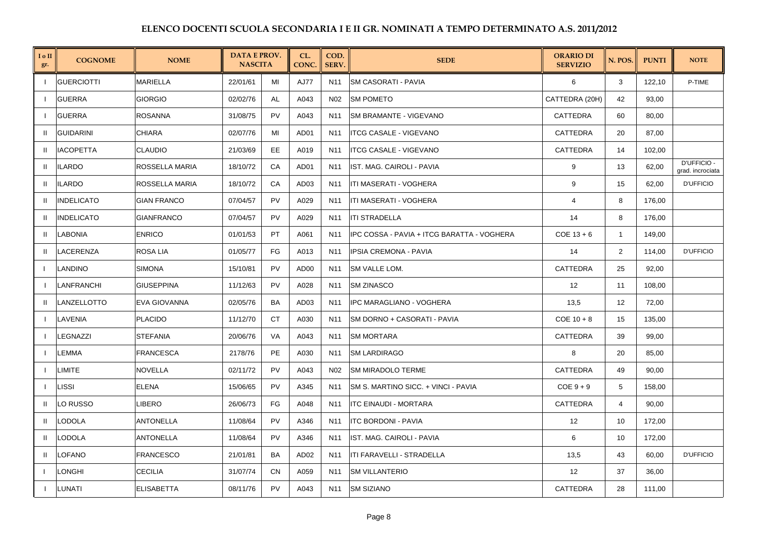| I o II<br>gr.            | <b>COGNOME</b>    | <b>NOME</b>        | <b>DATA E PROV.</b><br><b>NASCITA</b> |           | CL.<br>CONC.     | COD.<br>SERV.   | <b>SEDE</b>                                | <b>ORARIO DI</b><br><b>SERVIZIO</b> | N. POS.        | <b>PUNTI</b> | <b>NOTE</b>                     |
|--------------------------|-------------------|--------------------|---------------------------------------|-----------|------------------|-----------------|--------------------------------------------|-------------------------------------|----------------|--------------|---------------------------------|
| - 1                      | <b>GUERCIOTTI</b> | <b>MARIELLA</b>    | 22/01/61                              | MI        | AJ77             | N <sub>11</sub> | <b>SM CASORATI - PAVIA</b>                 | 6                                   | 3              | 122,10       | P-TIME                          |
|                          | <b>GUERRA</b>     | <b>GIORGIO</b>     | 02/02/76                              | AL        | A043             | N02             | <b>SM POMETO</b>                           | CATTEDRA (20H)                      | 42             | 93,00        |                                 |
| $\mathbf{I}$             | <b>GUERRA</b>     | <b>ROSANNA</b>     | 31/08/75                              | <b>PV</b> | A043             | N11             | <b>SM BRAMANTE - VIGEVANO</b>              | CATTEDRA                            | 60             | 80,00        |                                 |
| $\mathbf{u}$             | <b>GUIDARINI</b>  | <b>CHIARA</b>      | 02/07/76                              | MI        | AD01             | N <sub>11</sub> | <b>ITCG CASALE - VIGEVANO</b>              | CATTEDRA                            | 20             | 87,00        |                                 |
| $\mathbf{H}$             | <b>IACOPETTA</b>  | <b>CLAUDIO</b>     | 21/03/69                              | EE        | A019             | N11             | <b>ITCG CASALE - VIGEVANO</b>              | CATTEDRA                            | 14             | 102,00       |                                 |
| $\mathbf{H}$             | <b>ILARDO</b>     | ROSSELLA MARIA     | 18/10/72                              | CA        | AD01             | N <sub>11</sub> | IST. MAG. CAIROLI - PAVIA                  | 9                                   | 13             | 62,00        | D'UFFICIO -<br>grad. incrociata |
| $\mathbf{H}$             | <b>ILARDO</b>     | ROSSELLA MARIA     | 18/10/72                              | CA        | AD <sub>03</sub> | N11             | ITI MASERATI - VOGHERA                     | 9                                   | 15             | 62,00        | <b>D'UFFICIO</b>                |
| $\mathbf{H}$             | <b>INDELICATO</b> | <b>GIAN FRANCO</b> | 07/04/57                              | <b>PV</b> | A029             | N11             | ITI MASERATI - VOGHERA                     | 4                                   | 8              | 176,00       |                                 |
| $\mathbf{H}$             | <b>INDELICATO</b> | <b>GIANFRANCO</b>  | 07/04/57                              | <b>PV</b> | A029             | N11             | <b>ITI STRADELLA</b>                       | 14                                  | 8              | 176,00       |                                 |
| $\mathbf{H}$             | <b>LABONIA</b>    | <b>ENRICO</b>      | 01/01/53                              | PT        | A061             | N11             | IPC COSSA - PAVIA + ITCG BARATTA - VOGHERA | $COE$ 13 + 6                        | $\mathbf{1}$   | 149,00       |                                 |
| H.                       | LACERENZA         | ROSA LIA           | 01/05/77                              | FG        | A013             | N <sub>11</sub> | IPSIA CREMONA - PAVIA                      | 14                                  | 2              | 114,00       | <b>D'UFFICIO</b>                |
|                          | <b>LANDINO</b>    | <b>SIMONA</b>      | 15/10/81                              | <b>PV</b> | AD00             | N11             | <b>SM VALLE LOM.</b>                       | CATTEDRA                            | 25             | 92,00        |                                 |
| $\mathbf{I}$             | LANFRANCHI        | <b>GIUSEPPINA</b>  | 11/12/63                              | <b>PV</b> | A028             | N11             | <b>SM ZINASCO</b>                          | 12                                  | 11             | 108,00       |                                 |
| $\mathbf{H}$             | LANZELLOTTO       | EVA GIOVANNA       | 02/05/76                              | BA        | AD <sub>03</sub> | N <sub>11</sub> | <b>IPC MARAGLIANO - VOGHERA</b>            | 13,5                                | 12             | 72,00        |                                 |
|                          | LAVENIA           | <b>PLACIDO</b>     | 11/12/70                              | <b>CT</b> | A030             | N <sub>11</sub> | <b>SM DORNO + CASORATI - PAVIA</b>         | $COE$ 10 + 8                        | 15             | 135,00       |                                 |
| $\mathbf{I}$             | LEGNAZZI          | STEFANIA           | 20/06/76                              | VA        | A043             | N11             | <b>SM MORTARA</b>                          | CATTEDRA                            | 39             | 99,00        |                                 |
|                          | LEMMA             | <b>FRANCESCA</b>   | 2178/76                               | PE        | A030             | N11             | <b>SM LARDIRAGO</b>                        | 8                                   | 20             | 85,00        |                                 |
| - 1                      | LIMITE            | <b>NOVELLA</b>     | 02/11/72                              | <b>PV</b> | A043             | N02             | <b>SM MIRADOLO TERME</b>                   | CATTEDRA                            | 49             | 90,00        |                                 |
| $\mathbf{I}$             | LISSI             | <b>ELENA</b>       | 15/06/65                              | PV        | A345             | N11             | SM S. MARTINO SICC. + VINCI - PAVIA        | $COE 9 + 9$                         | 5              | 158,00       |                                 |
|                          | LO RUSSO          | LIBERO             | 26/06/73                              | FG        | A048             | N11             | <b>ITC EINAUDI - MORTARA</b>               | CATTEDRA                            | $\overline{4}$ | 90,00        |                                 |
| H.                       | LODOLA            | <b>ANTONELLA</b>   | 11/08/64                              | <b>PV</b> | A346             | N <sub>11</sub> | <b>ITC BORDONI - PAVIA</b>                 | 12                                  | 10             | 172,00       |                                 |
| H.                       | LODOLA            | <b>ANTONELLA</b>   | 11/08/64                              | PV        | A346             | N <sub>11</sub> | IST. MAG. CAIROLI - PAVIA                  | 6                                   | 10             | 172,00       |                                 |
| H.                       | LOFANO            | <b>FRANCESCO</b>   | 21/01/81                              | BA        | AD <sub>02</sub> | N11             | ITI FARAVELLI - STRADELLA                  | 13,5                                | 43             | 60,00        | <b>D'UFFICIO</b>                |
| $\overline{\phantom{a}}$ | <b>LONGHI</b>     | <b>CECILIA</b>     | 31/07/74                              | <b>CN</b> | A059             | N11             | <b>SM VILLANTERIO</b>                      | 12                                  | 37             | 36,00        |                                 |
|                          | LUNATI            | <b>ELISABETTA</b>  | 08/11/76                              | PV        | A043             | N11             | <b>SM SIZIANO</b>                          | CATTEDRA                            | 28             | 111,00       |                                 |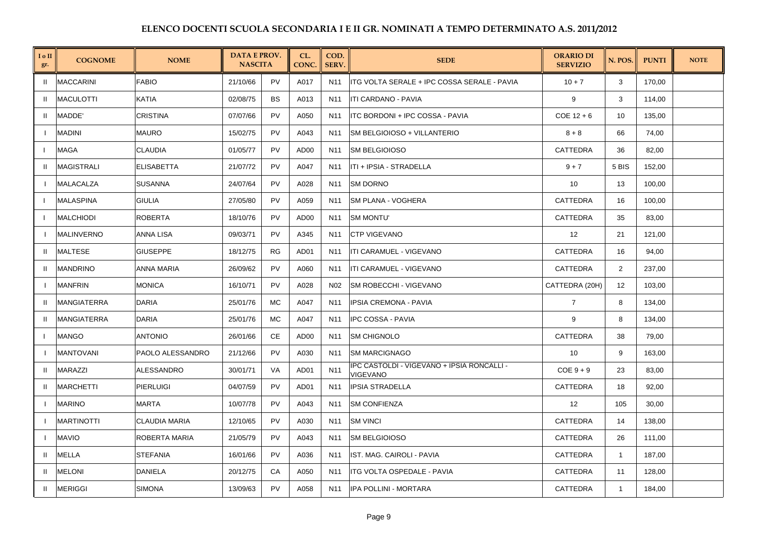| I o II<br>gr. | <b>COGNOME</b>     | <b>NOME</b>       | <b>DATA E PROV.</b><br><b>NASCITA</b> |           | CL.<br><b>CONC</b> | COD.<br><b>SERV.</b> | <b>SEDE</b>                                            | <b>ORARIO DI</b><br><b>SERVIZIO</b> | N. POS.      | <b>PUNTI</b> | <b>NOTE</b> |
|---------------|--------------------|-------------------|---------------------------------------|-----------|--------------------|----------------------|--------------------------------------------------------|-------------------------------------|--------------|--------------|-------------|
| -II.          | <b>MACCARINI</b>   | <b>FABIO</b>      | 21/10/66                              | <b>PV</b> | A017               | N <sub>11</sub>      | ITG VOLTA SERALE + IPC COSSA SERALE - PAVIA            | $10 + 7$                            | 3            | 170,00       |             |
| $\mathbf{H}$  | <b>MACULOTTI</b>   | KATIA             | 02/08/75                              | <b>BS</b> | A013               | N11                  | ITI CARDANO - PAVIA                                    | 9                                   | 3            | 114,00       |             |
| $\mathbf{H}$  | MADDE'             | <b>CRISTINA</b>   | 07/07/66                              | PV        | A050               | N11                  | ITC BORDONI + IPC COSSA - PAVIA                        | $COE$ 12 + 6                        | 10           | 135,00       |             |
|               | <b>MADINI</b>      | MAURO             | 15/02/75                              | <b>PV</b> | A043               | N11                  | SM BELGIOIOSO + VILLANTERIO                            | $8 + 8$                             | 66           | 74,00        |             |
|               | MAGA               | CLAUDIA           | 01/05/77                              | PV        | AD00               | N11                  | <b>SM BELGIOIOSO</b>                                   | CATTEDRA                            | 36           | 82,00        |             |
|               | <b>MAGISTRALI</b>  | <b>ELISABETTA</b> | 21/07/72                              | PV        | A047               | N <sub>11</sub>      | ITI + IPSIA - STRADELLA                                | $9 + 7$                             | 5 BIS        | 152,00       |             |
|               | MALACALZA          | SUSANNA           | 24/07/64                              | <b>PV</b> | A028               | N11                  | <b>SM DORNO</b>                                        | 10                                  | 13           | 100,00       |             |
|               | <b>MALASPINA</b>   | GIULIA            | 27/05/80                              | PV        | A059               | N11                  | <b>SM PLANA - VOGHERA</b>                              | CATTEDRA                            | 16           | 100,00       |             |
|               | <b>MALCHIODI</b>   | <b>ROBERTA</b>    | 18/10/76                              | PV        | AD00               | N11                  | <b>SM MONTU'</b>                                       | CATTEDRA                            | 35           | 83,00        |             |
|               | <b>MALINVERNO</b>  | ANNA LISA         | 09/03/71                              | <b>PV</b> | A345               | N11                  | <b>ICTP VIGEVANO</b>                                   | 12                                  | 21           | 121,00       |             |
| H.            | MALTESE            | GIUSEPPE          | 18/12/75                              | RG        | AD01               | N11                  | ITI CARAMUEL - VIGEVANO                                | CATTEDRA                            | 16           | 94,00        |             |
|               | <b>MANDRINO</b>    | <b>ANNA MARIA</b> | 26/09/62                              | <b>PV</b> | A060               | N11                  | ITI CARAMUEL - VIGEVANO                                | CATTEDRA                            | 2            | 237,00       |             |
|               | <b>MANFRIN</b>     | <b>MONICA</b>     | 16/10/71                              | PV        | A028               | N02                  | SM ROBECCHI - VIGEVANO                                 | CATTEDRA (20H)                      | 12           | 103,00       |             |
| <b>II</b>     | <b>MANGIATERRA</b> | DARIA             | 25/01/76                              | <b>MC</b> | A047               | N11                  | IPSIA CREMONA - PAVIA                                  | $\overline{7}$                      | 8            | 134,00       |             |
|               | <b>MANGIATERRA</b> | DARIA             | 25/01/76                              | <b>MC</b> | A047               | N <sub>11</sub>      | IPC COSSA - PAVIA                                      | 9                                   | 8            | 134,00       |             |
|               | <b>MANGO</b>       | <b>ANTONIO</b>    | 26/01/66                              | СE        | AD00               | N11                  | <b>SM CHIGNOLO</b>                                     | <b>CATTEDRA</b>                     | 38           | 79,00        |             |
|               | <b>MANTOVANI</b>   | PAOLO ALESSANDRO  | 21/12/66                              | PV        | A030               | N11                  | <b>SM MARCIGNAGO</b>                                   | 10                                  | 9            | 163,00       |             |
| H.            | <b>MARAZZI</b>     | ALESSANDRO        | 30/01/71                              | <b>VA</b> | AD01               | N <sub>11</sub>      | IPC CASTOLDI - VIGEVANO + IPSIA RONCALLI -<br>VIGEVANO | $COE 9 + 9$                         | 23           | 83,00        |             |
| H.            | <b>MARCHETTI</b>   | <b>PIERLUIGI</b>  | 04/07/59                              | PV        | AD01               | N11                  | <b>IPSIA STRADELLA</b>                                 | CATTEDRA                            | 18           | 92,00        |             |
|               | <b>MARINO</b>      | MARTA             | 10/07/78                              | PV        | A043               | N11                  | <b>SM CONFIENZA</b>                                    | 12                                  | 105          | 30,00        |             |
|               | <b>MARTINOTTI</b>  | CLAUDIA MARIA     | 12/10/65                              | PV        | A030               | N <sub>11</sub>      | <b>SM VINCI</b>                                        | <b>CATTEDRA</b>                     | 14           | 138,00       |             |
|               | <b>MAVIO</b>       | ROBERTA MARIA     | 21/05/79                              | PV        | A043               | N11                  | <b>SM BELGIOIOSO</b>                                   | CATTEDRA                            | 26           | 111,00       |             |
| $\mathbf{H}$  | <b>MELLA</b>       | <b>STEFANIA</b>   | 16/01/66                              | PV        | A036               | N11                  | IST. MAG. CAIROLI - PAVIA                              | CATTEDRA                            | $\mathbf{1}$ | 187,00       |             |
| $\mathbf{u}$  | <b>MELONI</b>      | <b>DANIELA</b>    | 20/12/75                              | CA        | A050               | N11                  | <b>ITG VOLTA OSPEDALE - PAVIA</b>                      | <b>CATTEDRA</b>                     | 11           | 128,00       |             |
| Ш             | <b>MERIGGI</b>     | SIMONA            | 13/09/63                              | PV        | A058               | N11                  | <b>IPA POLLINI - MORTARA</b>                           | CATTEDRA                            | $\mathbf{1}$ | 184,00       |             |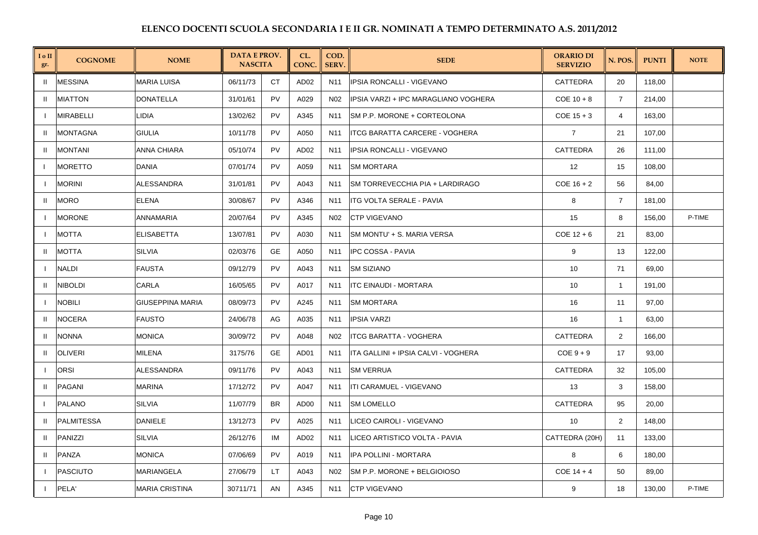| I o II<br>gr.            | <b>COGNOME</b>    | <b>NOME</b>        | <b>DATA E PROV.</b><br><b>NASCITA</b> |           | CL.<br>CONC.     | COD.<br><b>SERV.</b> | <b>SEDE</b>                            | <b>ORARIO DI</b><br><b>SERVIZIO</b> | N. POS.        | <b>PUNTI</b> | <b>NOTE</b> |
|--------------------------|-------------------|--------------------|---------------------------------------|-----------|------------------|----------------------|----------------------------------------|-------------------------------------|----------------|--------------|-------------|
| $\mathbf{H}$             | <b>MESSINA</b>    | <b>MARIA LUISA</b> | 06/11/73                              | <b>CT</b> | AD <sub>02</sub> | N <sub>11</sub>      | <b>IPSIA RONCALLI - VIGEVANO</b>       | CATTEDRA                            | 20             | 118,00       |             |
| $\mathbf{H}$             | <b>MIATTON</b>    | <b>DONATELLA</b>   | 31/01/61                              | <b>PV</b> | A029             | N <sub>02</sub>      | IPSIA VARZI + IPC MARAGLIANO VOGHERA   | $COE$ 10 + 8                        | $\overline{7}$ | 214,00       |             |
| $\mathbf{I}$             | MIRABELLI         | LIDIA              | 13/02/62                              | PV        | A345             | N11                  | SM P.P. MORONE + CORTEOLONA            | $COE$ 15 + 3                        | 4              | 163,00       |             |
| $\mathbf{u}$             | <b>MONTAGNA</b>   | GIULIA             | 10/11/78                              | <b>PV</b> | A050             | N <sub>11</sub>      | <b>ITCG BARATTA CARCERE - VOGHERA</b>  | $\overline{7}$                      | 21             | 107,00       |             |
| $\mathbf{H}$             | <b>MONTANI</b>    | ANNA CHIARA        | 05/10/74                              | <b>PV</b> | AD <sub>02</sub> | N11                  | IPSIA RONCALLI - VIGEVANO              | <b>CATTEDRA</b>                     | 26             | 111,00       |             |
| $\overline{\phantom{a}}$ | <b>MORETTO</b>    | DANIA              | 07/01/74                              | <b>PV</b> | A059             | N <sub>11</sub>      | <b>SM MORTARA</b>                      | 12                                  | 15             | 108,00       |             |
|                          | <b>MORINI</b>     | <b>ALESSANDRA</b>  | 31/01/81                              | <b>PV</b> | A043             | N11                  | <b>SM TORREVECCHIA PIA + LARDIRAGO</b> | $COE$ 16 + 2                        | 56             | 84,00        |             |
| $\mathbf{H}$             | <b>MORO</b>       | ELENA              | 30/08/67                              | <b>PV</b> | A346             | N11                  | <b>ITG VOLTA SERALE - PAVIA</b>        | 8                                   | $\overline{7}$ | 181,00       |             |
|                          | <b>MORONE</b>     | ANNAMARIA          | 20/07/64                              | <b>PV</b> | A345             | N02                  | <b>CTP VIGEVANO</b>                    | 15                                  | 8              | 156,00       | P-TIME      |
|                          | <b>MOTTA</b>      | <b>ELISABETTA</b>  | 13/07/81                              | <b>PV</b> | A030             | N11                  | SM MONTU' + S. MARIA VERSA             | $COE$ 12 + 6                        | 21             | 83,00        |             |
| <b>II</b>                | <b>MOTTA</b>      | <b>SILVIA</b>      | 02/03/76                              | GE        | A050             | N <sub>11</sub>      | <b>IPC COSSA - PAVIA</b>               | 9                                   | 13             | 122,00       |             |
|                          | <b>NALDI</b>      | <b>FAUSTA</b>      | 09/12/79                              | <b>PV</b> | A043             | N11                  | <b>SM SIZIANO</b>                      | 10                                  | 71             | 69,00        |             |
| $\mathbf{H}$             | <b>NIBOLDI</b>    | CARLA              | 16/05/65                              | PV        | A017             | N11                  | ITC EINAUDI - MORTARA                  | 10                                  | $\mathbf{1}$   | 191,00       |             |
| $\mathbf{I}$             | <b>NOBILI</b>     | GIUSEPPINA MARIA   | 08/09/73                              | <b>PV</b> | A245             | N11                  | <b>SM MORTARA</b>                      | 16                                  | 11             | 97,00        |             |
| $\mathbf{H}$             | <b>NOCERA</b>     | <b>FAUSTO</b>      | 24/06/78                              | AG        | A035             | N <sub>11</sub>      | <b>IPSIA VARZI</b>                     | 16                                  | $\mathbf{1}$   | 63,00        |             |
| H.                       | <b>NONNA</b>      | <b>MONICA</b>      | 30/09/72                              | <b>PV</b> | A048             | N <sub>02</sub>      | <b>ITCG BARATTA - VOGHERA</b>          | <b>CATTEDRA</b>                     | 2              | 166.00       |             |
| H.                       | <b>OLIVERI</b>    | MILENA             | 3175/76                               | GE        | AD01             | N11                  | ITA GALLINI + IPSIA CALVI - VOGHERA    | $COE 9 + 9$                         | 17             | 93,00        |             |
| $\blacksquare$           | <b>ORSI</b>       | <b>ALESSANDRA</b>  | 09/11/76                              | <b>PV</b> | A043             | N11                  | <b>SM VERRUA</b>                       | CATTEDRA                            | 32             | 105,00       |             |
| <b>II</b>                | PAGANI            | <b>MARINA</b>      | 17/12/72                              | <b>PV</b> | A047             | N <sub>11</sub>      | ITI CARAMUEL - VIGEVANO                | 13                                  | 3              | 158,00       |             |
|                          | <b>PALANO</b>     | <b>SILVIA</b>      | 11/07/79                              | <b>BR</b> | AD00             | N11                  | <b>SM LOMELLO</b>                      | CATTEDRA                            | 95             | 20,00        |             |
| H.                       | <b>PALMITESSA</b> | DANIELE            | 13/12/73                              | PV        | A025             | N <sub>11</sub>      | LICEO CAIROLI - VIGEVANO               | 10                                  | 2              | 148,00       |             |
| H.                       | <b>PANIZZI</b>    | <b>SILVIA</b>      | 26/12/76                              | ΙM        | AD <sub>02</sub> | N11                  | LICEO ARTISTICO VOLTA - PAVIA          | CATTEDRA (20H)                      | 11             | 133,00       |             |
| $\mathbf{H}$             | PANZA             | <b>MONICA</b>      | 07/06/69                              | <b>PV</b> | A019             | N11                  | IPA POLLINI - MORTARA                  | 8                                   | 6              | 180,00       |             |
| $\mathbf{I}$             | <b>PASCIUTO</b>   | <b>MARIANGELA</b>  | 27/06/79                              | LT.       | A043             | N <sub>02</sub>      | SM P.P. MORONE + BELGIOIOSO            | $COE$ 14 + 4                        | 50             | 89,00        |             |
|                          | PELA'             | MARIA CRISTINA     | 30711/71                              | AN        | A345             | N11                  | <b>CTP VIGEVANO</b>                    | 9                                   | 18             | 130,00       | P-TIME      |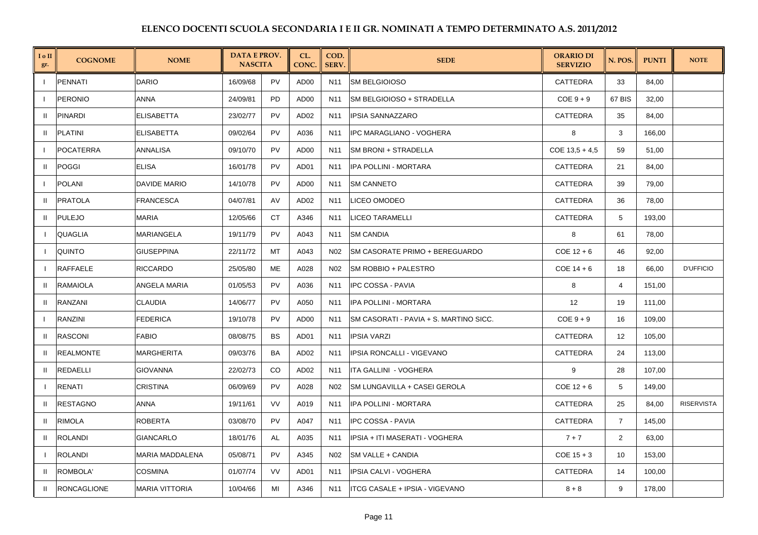| I o II<br>gr. | <b>COGNOME</b>     | <b>NOME</b>           | <b>DATA E PROV.</b><br><b>NASCITA</b> |               | CL.<br>CONC.     | COD.<br>SERV.   | <b>SEDE</b>                            | <b>ORARIO DI</b><br><b>SERVIZIO</b> | N. POS.        | <b>PUNTI</b> | <b>NOTE</b>       |
|---------------|--------------------|-----------------------|---------------------------------------|---------------|------------------|-----------------|----------------------------------------|-------------------------------------|----------------|--------------|-------------------|
|               | <b>PENNATI</b>     | <b>DARIO</b>          | 16/09/68                              | <b>PV</b>     | AD00             | N <sub>11</sub> | <b>SM BELGIOIOSO</b>                   | CATTEDRA                            | 33             | 84,00        |                   |
|               | <b>PERONIO</b>     | <b>ANNA</b>           | 24/09/81                              | <b>PD</b>     | AD00             | N <sub>11</sub> | <b>SM BELGIOIOSO + STRADELLA</b>       | $COE 9 + 9$                         | 67 BIS         | 32,00        |                   |
| $\mathbf{H}$  | <b>PINARDI</b>     | <b>ELISABETTA</b>     | 23/02/77                              | <b>PV</b>     | AD <sub>02</sub> | N <sub>11</sub> | <b>IPSIA SANNAZZARO</b>                | <b>CATTEDRA</b>                     | 35             | 84,00        |                   |
| $\mathbf{H}$  | <b>PLATINI</b>     | <b>ELISABETTA</b>     | 09/02/64                              | PV            | A036             | N <sub>11</sub> | IPC MARAGLIANO - VOGHERA               | 8                                   | 3              | 166,00       |                   |
| $\mathbf{I}$  | <b>POCATERRA</b>   | ANNALISA              | 09/10/70                              | <b>PV</b>     | AD00             | N11             | <b>SM BRONI + STRADELLA</b>            | $COE$ 13,5 + 4,5                    | 59             | 51,00        |                   |
| $\mathbf{u}$  | <b>POGGI</b>       | <b>ELISA</b>          | 16/01/78                              | <b>PV</b>     | AD <sub>01</sub> | N <sub>11</sub> | IPA POLLINI - MORTARA                  | <b>CATTEDRA</b>                     | 21             | 84,00        |                   |
|               | <b>POLANI</b>      | <b>DAVIDE MARIO</b>   | 14/10/78                              | <b>PV</b>     | AD00             | N11             | <b>SM CANNETO</b>                      | CATTEDRA                            | 39             | 79,00        |                   |
| $\mathbf{H}$  | <b>PRATOLA</b>     | <b>FRANCESCA</b>      | 04/07/81                              | AV            | AD <sub>02</sub> | N <sub>11</sub> | LICEO OMODEO                           | CATTEDRA                            | 36             | 78,00        |                   |
| H.            | <b>PULEJO</b>      | MARIA                 | 12/05/66                              | СT            | A346             | N11             | <b>LICEO TARAMELLI</b>                 | CATTEDRA                            | 5              | 193,00       |                   |
| - 1           | QUAGLIA            | MARIANGELA            | 19/11/79                              | <b>PV</b>     | A043             | N11             | <b>SM CANDIA</b>                       | 8                                   | 61             | 78,00        |                   |
| - 1           | <b>QUINTO</b>      | <b>GIUSEPPINA</b>     | 22/11/72                              | MT            | A043             | N <sub>02</sub> | <b>SM CASORATE PRIMO + BEREGUARDO</b>  | $COE$ 12 + 6                        | 46             | 92,00        |                   |
|               | <b>RAFFAELE</b>    | <b>RICCARDO</b>       | 25/05/80                              | МE            | A028             | N02             | <b>SM ROBBIO + PALESTRO</b>            | $COE$ 14 + 6                        | 18             | 66,00        | <b>D'UFFICIO</b>  |
| $\mathbf{H}$  | <b>RAMAIOLA</b>    | <b>ANGELA MARIA</b>   | 01/05/53                              | <b>PV</b>     | A036             | N11             | <b>IPC COSSA - PAVIA</b>               | 8                                   | $\overline{4}$ | 151,00       |                   |
| $\mathbf{H}$  | RANZANI            | <b>CLAUDIA</b>        | 14/06/77                              | PV            | A050             | N <sub>11</sub> | IPA POLLINI - MORTARA                  | 12                                  | 19             | 111,00       |                   |
| $\mathbf{I}$  | RANZINI            | <b>FEDERICA</b>       | 19/10/78                              | <b>PV</b>     | AD00             | N11             | SM CASORATI - PAVIA + S. MARTINO SICC. | $COE 9 + 9$                         | 16             | 109,00       |                   |
| H             | <b>RASCONI</b>     | <b>FABIO</b>          | 08/08/75                              | <b>BS</b>     | AD01             | N <sub>11</sub> | <b>IPSIA VARZI</b>                     | CATTEDRA                            | 12             | 105,00       |                   |
| $\mathbf{H}$  | <b>REALMONTE</b>   | <b>MARGHERITA</b>     | 09/03/76                              | BA            | AD <sub>02</sub> | N <sub>11</sub> | IPSIA RONCALLI - VIGEVANO              | CATTEDRA                            | 24             | 113,00       |                   |
| $\mathbf{H}$  | REDAELLI           | <b>GIOVANNA</b>       | 22/02/73                              | <sub>CO</sub> | AD <sub>02</sub> | N11             | ITA GALLINI - VOGHERA                  | 9                                   | 28             | 107,00       |                   |
|               | <b>RENATI</b>      | <b>CRISTINA</b>       | 06/09/69                              | PV            | A028             | N02             | <b>SM LUNGAVILLA + CASEI GEROLA</b>    | $COE$ 12 + 6                        | 5              | 149,00       |                   |
| $\mathbf{u}$  | RESTAGNO           | ANNA                  | 19/11/61                              | <b>VV</b>     | A019             | N <sub>11</sub> | IPA POLLINI - MORTARA                  | CATTEDRA                            | 25             | 84,00        | <b>RISERVISTA</b> |
| H             | <b>RIMOLA</b>      | <b>ROBERTA</b>        | 03/08/70                              | <b>PV</b>     | A047             | N <sub>11</sub> | <b>IPC COSSA - PAVIA</b>               | CATTEDRA                            | $\overline{7}$ | 145,00       |                   |
| H.            | <b>ROLANDI</b>     | <b>GIANCARLO</b>      | 18/01/76                              | AL            | A035             | N11             | IPSIA + ITI MASERATI - VOGHERA         | $7 + 7$                             | 2              | 63,00        |                   |
| $\mathbf{I}$  | <b>ROLANDI</b>     | MARIA MADDALENA       | 05/08/71                              | <b>PV</b>     | A345             | N02             | <b>SM VALLE + CANDIA</b>               | $COE$ 15 + 3                        | 10             | 153,00       |                   |
| $\mathbf{H}$  | ROMBOLA'           | <b>COSMINA</b>        | 01/07/74                              | <b>VV</b>     | AD01             | N <sub>11</sub> | IPSIA CALVI - VOGHERA                  | CATTEDRA                            | 14             | 100,00       |                   |
| H.            | <b>RONCAGLIONE</b> | <b>MARIA VITTORIA</b> | 10/04/66                              | MI            | A346             | N11             | ITCG CASALE + IPSIA - VIGEVANO         | $8 + 8$                             | 9              | 178,00       |                   |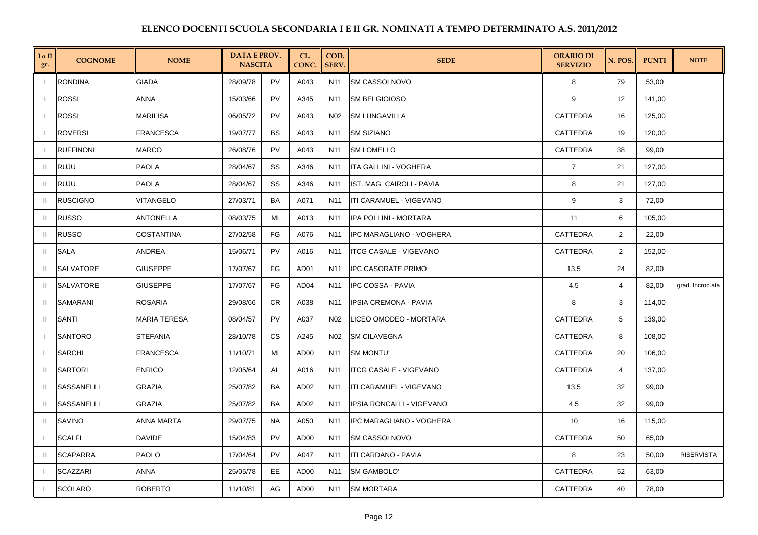| I o II<br>gr.  | <b>COGNOME</b>    | <b>NOME</b>         | <b>DATA E PROV.</b><br><b>NASCITA</b> |           | CL.<br>CONC.     | COD.<br><b>SERV.</b> | <b>SEDE</b>                      | <b>ORARIO DI</b><br><b>SERVIZIO</b> | N. POS.        | <b>PUNTI</b> | <b>NOTE</b>       |
|----------------|-------------------|---------------------|---------------------------------------|-----------|------------------|----------------------|----------------------------------|-------------------------------------|----------------|--------------|-------------------|
| $\mathbf{I}$   | <b>RONDINA</b>    | <b>GIADA</b>        | 28/09/78                              | <b>PV</b> | A043             | N11                  | <b>SM CASSOLNOVO</b>             | 8                                   | 79             | 53,00        |                   |
|                | <b>ROSSI</b>      | ANNA                | 15/03/66                              | <b>PV</b> | A345             | N11                  | <b>SM BELGIOIOSO</b>             | 9                                   | 12             | 141,00       |                   |
| $\mathbf{I}$   | <b>ROSSI</b>      | <b>MARILISA</b>     | 06/05/72                              | PV        | A043             | N02                  | <b>SM LUNGAVILLA</b>             | CATTEDRA                            | 16             | 125,00       |                   |
|                | <b>ROVERSI</b>    | <b>FRANCESCA</b>    | 19/07/77                              | <b>BS</b> | A043             | N11                  | <b>SM SIZIANO</b>                | <b>CATTEDRA</b>                     | 19             | 120,00       |                   |
| $\mathbf{I}$   | <b>RUFFINONI</b>  | MARCO               | 26/08/76                              | <b>PV</b> | A043             | N11                  | <b>SM LOMELLO</b>                | CATTEDRA                            | 38             | 99,00        |                   |
| $\mathbf{H}$   | <b>RUJU</b>       | PAOLA               | 28/04/67                              | SS        | A346             | N <sub>11</sub>      | <b>ITA GALLINI - VOGHERA</b>     | $\overline{7}$                      | 21             | 127,00       |                   |
| H.             | <b>RUJU</b>       | <b>PAOLA</b>        | 28/04/67                              | SS        | A346             | N11                  | IST. MAG. CAIROLI - PAVIA        | 8                                   | 21             | 127,00       |                   |
| H.             | <b>RUSCIGNO</b>   | VITANGELO           | 27/03/71                              | BA        | A071             | N11                  | ITI CARAMUEL - VIGEVANO          | 9                                   | 3              | 72,00        |                   |
| $\mathbf{H}$   | <b>RUSSO</b>      | <b>ANTONELLA</b>    | 08/03/75                              | MI        | A013             | N11                  | IPA POLLINI - MORTARA            | 11                                  | 6              | 105,00       |                   |
| $\mathbf{H}$   | <b>RUSSO</b>      | COSTANTINA          | 27/02/58                              | FG        | A076             | N11                  | IPC MARAGLIANO - VOGHERA         | CATTEDRA                            | 2              | 22,00        |                   |
| $\mathbf{H}$   | SALA              | ANDREA              | 15/06/71                              | PV        | A016             | N11                  | <b>ITCG CASALE - VIGEVANO</b>    | CATTEDRA                            | $\overline{2}$ | 152,00       |                   |
| $\mathbf{H}$   | SALVATORE         | GIUSEPPE            | 17/07/67                              | FG        | AD01             | N11                  | <b>IPC CASORATE PRIMO</b>        | 13,5                                | 24             | 82,00        |                   |
| $\mathbf{u}$   | <b>SALVATORE</b>  | <b>GIUSEPPE</b>     | 17/07/67                              | FG        | AD <sub>04</sub> | N11                  | IPC COSSA - PAVIA                | 4,5                                 | 4              | 82,00        | grad. Incrociata  |
| $\mathbf{H}$   | SAMARANI          | ROSARIA             | 29/08/66                              | <b>CR</b> | A038             | N11                  | IPSIA CREMONA - PAVIA            | 8                                   | 3              | 114,00       |                   |
| $\mathbf{H}$   | SANTI             | <b>MARIA TERESA</b> | 08/04/57                              | PV        | A037             | N <sub>02</sub>      | LICEO OMODEO - MORTARA           | CATTEDRA                            | 5              | 139,00       |                   |
| $\mathbf{I}$   | <b>SANTORO</b>    | <b>STEFANIA</b>     | 28/10/78                              | <b>CS</b> | A245             | N <sub>02</sub>      | <b>SM CILAVEGNA</b>              | <b>CATTEDRA</b>                     | 8              | 108.00       |                   |
|                | <b>SARCHI</b>     | FRANCESCA           | 11/10/71                              | MI        | AD00             | N11                  | <b>SM MONTU'</b>                 | CATTEDRA                            | 20             | 106,00       |                   |
| $\mathbf{u}$   | <b>SARTORI</b>    | <b>ENRICO</b>       | 12/05/64                              | AL        | A016             | N11                  | <b>ITCG CASALE - VIGEVANO</b>    | CATTEDRA                            | $\overline{4}$ | 137,00       |                   |
| $\mathbf{u}$   | <b>SASSANELLI</b> | GRAZIA              | 25/07/82                              | BA        | AD <sub>02</sub> | N11                  | ITI CARAMUEL - VIGEVANO          | 13,5                                | 32             | 99,00        |                   |
| $\mathbf{H}$   | SASSANELLI        | GRAZIA              | 25/07/82                              | BA        | AD <sub>02</sub> | N11                  | <b>IPSIA RONCALLI - VIGEVANO</b> | 4,5                                 | 32             | 99,00        |                   |
| $\mathbf{H}$   | SAVINO            | ANNA MARTA          | 29/07/75                              | <b>NA</b> | A050             | N11                  | IPC MARAGLIANO - VOGHERA         | 10                                  | 16             | 115,00       |                   |
|                | <b>SCALFI</b>     | DAVIDE              | 15/04/83                              | PV        | AD00             | N11                  | <b>SM CASSOLNOVO</b>             | CATTEDRA                            | 50             | 65,00        |                   |
| $\mathbf{H}$   | <b>SCAPARRA</b>   | PAOLO               | 17/04/64                              | <b>PV</b> | A047             | N11                  | <b>ITI CARDANO - PAVIA</b>       | 8                                   | 23             | 50,00        | <b>RISERVISTA</b> |
| $\mathbf{I}$   | <b>SCAZZARI</b>   | ANNA                | 25/05/78                              | EE        | AD00             | N11                  | <b>SM GAMBOLO'</b>               | <b>CATTEDRA</b>                     | 52             | 63,00        |                   |
| $\blacksquare$ | <b>SCOLARO</b>    | ROBERTO             | 11/10/81                              | AG        | AD00             | N11                  | <b>SM MORTARA</b>                | <b>CATTEDRA</b>                     | 40             | 78,00        |                   |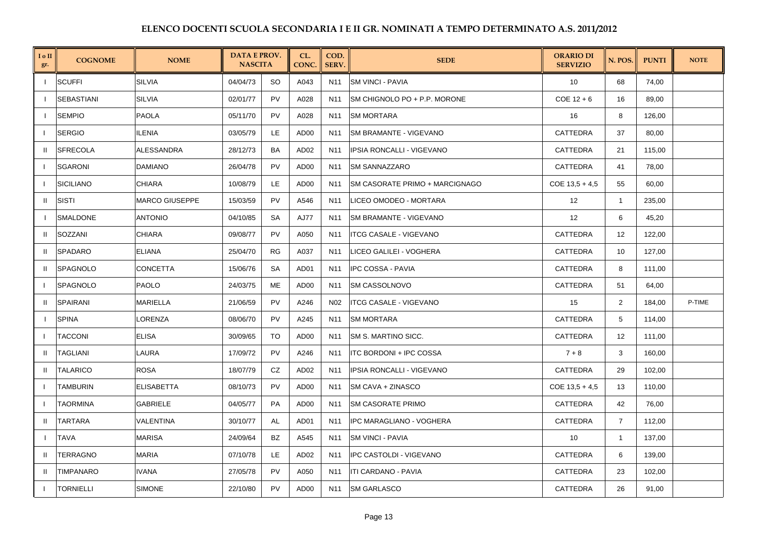| $I \circ II$<br>gr. | <b>COGNOME</b>   | <b>NOME</b>           | <b>DATA E PROV.</b><br><b>NASCITA</b> |           | CL.<br>CONC.     | COD.<br><b>SERV.</b> | <b>SEDE</b>                           | <b>ORARIO DI</b><br><b>SERVIZIO</b> | N. POS.        | <b>PUNTI</b> | <b>NOTE</b> |
|---------------------|------------------|-----------------------|---------------------------------------|-----------|------------------|----------------------|---------------------------------------|-------------------------------------|----------------|--------------|-------------|
| $\mathbf{I}$        | <b>SCUFFI</b>    | <b>SILVIA</b>         | 04/04/73                              | <b>SO</b> | A043             | N11                  | <b>SM VINCI - PAVIA</b>               | 10                                  | 68             | 74,00        |             |
|                     | SEBASTIANI       | <b>SILVIA</b>         | 02/01/77                              | PV        | A028             | N11                  | SM CHIGNOLO PO + P.P. MORONE          | $COE$ 12 + 6                        | 16             | 89,00        |             |
|                     | <b>SEMPIO</b>    | <b>PAOLA</b>          | 05/11/70                              | <b>PV</b> | A028             | N11                  | <b>SM MORTARA</b>                     | 16                                  | 8              | 126,00       |             |
|                     | <b>SERGIO</b>    | ILENIA                | 03/05/79                              | LE.       | AD00             | N <sub>11</sub>      | <b>SM BRAMANTE - VIGEVANO</b>         | <b>CATTEDRA</b>                     | 37             | 80,00        |             |
| $\mathbf{I}$        | <b>SFRECOLA</b>  | <b>ALESSANDRA</b>     | 28/12/73                              | BA        | AD <sub>02</sub> | N11                  | IPSIA RONCALLI - VIGEVANO             | CATTEDRA                            | 21             | 115,00       |             |
|                     | <b>SGARONI</b>   | <b>DAMIANO</b>        | 26/04/78                              | <b>PV</b> | AD00             | N11                  | <b>SM SANNAZZARO</b>                  | CATTEDRA                            | 41             | 78,00        |             |
|                     | <b>SICILIANO</b> | <b>CHIARA</b>         | 10/08/79                              | LE.       | AD00             | N11                  | <b>SM CASORATE PRIMO + MARCIGNAGO</b> | $COE$ 13,5 + 4,5                    | 55             | 60,00        |             |
| Ш                   | <b>SISTI</b>     | <b>MARCO GIUSEPPE</b> | 15/03/59                              | <b>PV</b> | A546             | N <sub>11</sub>      | LICEO OMODEO - MORTARA                | 12                                  | $\mathbf{1}$   | 235,00       |             |
|                     | SMALDONE         | <b>ANTONIO</b>        | 04/10/85                              | <b>SA</b> | <b>AJ77</b>      | N11                  | SM BRAMANTE - VIGEVANO                | 12                                  | 6              | 45,20        |             |
| $\mathbf{H}$        | SOZZANI          | <b>CHIARA</b>         | 09/08/77                              | PV        | A050             | N11                  | <b>ITCG CASALE - VIGEVANO</b>         | CATTEDRA                            | 12             | 122,00       |             |
| -II                 | <b>SPADARO</b>   | <b>ELIANA</b>         | 25/04/70                              | RG        | A037             | N <sub>11</sub>      | LICEO GALILEI - VOGHERA               | CATTEDRA                            | 10             | 127,00       |             |
| Ш.                  | <b>SPAGNOLO</b>  | CONCETTA              | 15/06/76                              | SA        | AD01             | N11                  | <b>IPC COSSA - PAVIA</b>              | CATTEDRA                            | 8              | 111,00       |             |
| $\mathbf{I}$        | SPAGNOLO         | PAOLO                 | 24/03/75                              | ME        | AD00             | N11                  | <b>SM CASSOLNOVO</b>                  | CATTEDRA                            | 51             | 64,00        |             |
| -II                 | <b>SPAIRANI</b>  | <b>MARIELLA</b>       | 21/06/59                              | <b>PV</b> | A246             | N <sub>02</sub>      | <b>ITCG CASALE - VIGEVANO</b>         | 15                                  | 2              | 184,00       | P-TIME      |
|                     | <b>SPINA</b>     | LORENZA               | 08/06/70                              | PV        | A245             | N11                  | <b>SM MORTARA</b>                     | CATTEDRA                            | 5              | 114,00       |             |
| -1                  | <b>TACCONI</b>   | <b>ELISA</b>          | 30/09/65                              | <b>TO</b> | AD00             | N <sub>11</sub>      | SM S. MARTINO SICC.                   | CATTEDRA                            | 12             | 111,00       |             |
| H                   | TAGLIANI         | LAURA                 | 17/09/72                              | <b>PV</b> | A246             | N11                  | <b>ITC BORDONI + IPC COSSA</b>        | $7 + 8$                             | 3              | 160,00       |             |
| H                   | <b>TALARICO</b>  | <b>ROSA</b>           | 18/07/79                              | CZ        | AD <sub>02</sub> | N <sub>11</sub>      | IPSIA RONCALLI - VIGEVANO             | CATTEDRA                            | 29             | 102,00       |             |
| -1                  | <b>TAMBURIN</b>  | <b>ELISABETTA</b>     | 08/10/73                              | <b>PV</b> | AD00             | N <sub>11</sub>      | SM CAVA + ZINASCO                     | $COE$ 13,5 + 4,5                    | 13             | 110,00       |             |
|                     | <b>TAORMINA</b>  | <b>GABRIELE</b>       | 04/05/77                              | <b>PA</b> | AD00             | N11                  | <b>SM CASORATE PRIMO</b>              | CATTEDRA                            | 42             | 76,00        |             |
| $\mathbf{I}$        | TARTARA          | VALENTINA             | 30/10/77                              | AL        | AD01             | N <sub>11</sub>      | IPC MARAGLIANO - VOGHERA              | CATTEDRA                            | $\overline{7}$ | 112,00       |             |
|                     | TAVA             | <b>MARISA</b>         | 24/09/64                              | BZ        | A545             | N11                  | <b>ISM VINCI - PAVIA</b>              | 10                                  | $\mathbf{1}$   | 137,00       |             |
| H                   | <b>TERRAGNO</b>  | <b>MARIA</b>          | 07/10/78                              | LE        | AD <sub>02</sub> | N11                  | <b>IPC CASTOLDI - VIGEVANO</b>        | CATTEDRA                            | 6              | 139,00       |             |
| H                   | <b>TIMPANARO</b> | <b>IVANA</b>          | 27/05/78                              | <b>PV</b> | A050             | N <sub>11</sub>      | <b>ITI CARDANO - PAVIA</b>            | <b>CATTEDRA</b>                     | 23             | 102,00       |             |
|                     | <b>TORNIELLI</b> | <b>SIMONE</b>         | 22/10/80                              | <b>PV</b> | AD00             | N11                  | <b>SM GARLASCO</b>                    | CATTEDRA                            | 26             | 91,00        |             |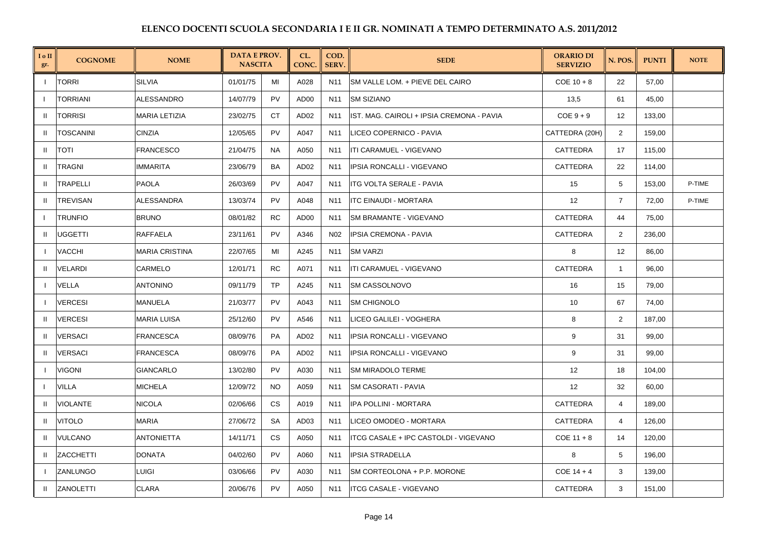| I o II<br>gr.  | <b>COGNOME</b>   | <b>NOME</b>          | <b>DATA E PROV.</b><br><b>NASCITA</b> |           | CL.<br>CONC.     | COD.<br><b>SERV.</b> | <b>SEDE</b>                               | <b>ORARIO DI</b><br><b>SERVIZIO</b> | N. POS.        | <b>PUNTI</b> | <b>NOTE</b> |
|----------------|------------------|----------------------|---------------------------------------|-----------|------------------|----------------------|-------------------------------------------|-------------------------------------|----------------|--------------|-------------|
| $\mathbf{I}$   | <b>TORRI</b>     | <b>SILVIA</b>        | 01/01/75                              | MI        | A028             | N <sub>11</sub>      | <b>SM VALLE LOM. + PIEVE DEL CAIRO</b>    | $COE$ 10 + 8                        | 22             | 57,00        |             |
|                | TORRIANI         | ALESSANDRO           | 14/07/79                              | PV        | AD <sub>00</sub> | N11                  | <b>SM SIZIANO</b>                         | 13,5                                | 61             | 45,00        |             |
| $\mathbf{H}$   | <b>TORRISI</b>   | <b>MARIA LETIZIA</b> | 23/02/75                              | СT        | AD <sub>02</sub> | N11                  | IST. MAG. CAIROLI + IPSIA CREMONA - PAVIA | $COE 9 + 9$                         | 12             | 133,00       |             |
| H.             | <b>TOSCANINI</b> | <b>CINZIA</b>        | 12/05/65                              | PV        | A047             | N <sub>11</sub>      | LICEO COPERNICO - PAVIA                   | CATTEDRA (20H)                      | 2              | 159,00       |             |
| -II            | TOTI             | FRANCESCO            | 21/04/75                              | <b>NA</b> | A050             | N11                  | ITI CARAMUEL - VIGEVANO                   | CATTEDRA                            | 17             | 115,00       |             |
| $\mathbf{H}$   | TRAGNI           | IMMARITA             | 23/06/79                              | BA        | AD <sub>02</sub> | N <sub>11</sub>      | IPSIA RONCALLI - VIGEVANO                 | CATTEDRA                            | 22             | 114,00       |             |
|                | TRAPELLI         | PAOLA                | 26/03/69                              | PV        | A047             | N11                  | ITG VOLTA SERALE - PAVIA                  | 15                                  | 5              | 153,00       | P-TIME      |
| $\mathbf{H}$   | <b>TREVISAN</b>  | <b>ALESSANDRA</b>    | 13/03/74                              | PV        | A048             | N11                  | <b>ITC EINAUDI - MORTARA</b>              | 12                                  | $\overline{7}$ | 72,00        | P-TIME      |
| $\overline{1}$ | <b>TRUNFIO</b>   | <b>BRUNO</b>         | 08/01/82                              | <b>RC</b> | AD00             | N11                  | SM BRAMANTE - VIGEVANO                    | CATTEDRA                            | 44             | 75,00        |             |
| -II            | UGGETTI          | RAFFAELA             | 23/11/61                              | PV        | A346             | N <sub>02</sub>      | <b>IPSIA CREMONA - PAVIA</b>              | CATTEDRA                            | $\overline{2}$ | 236,00       |             |
| $\mathbf{I}$   | VACCHI           | MARIA CRISTINA       | 22/07/65                              | MI        | A245             | N11                  | <b>SM VARZI</b>                           | 8                                   | 12             | 86,00        |             |
| H.             | <b>VELARDI</b>   | CARMELO              | 12/01/71                              | <b>RC</b> | A071             | N11                  | ITI CARAMUEL - VIGEVANO                   | CATTEDRA                            | $\overline{1}$ | 96,00        |             |
| $\mathbf{I}$   | VELLA            | <b>ANTONINO</b>      | 09/11/79                              | <b>TP</b> | A245             | N <sub>11</sub>      | <b>SM CASSOLNOVO</b>                      | 16                                  | 15             | 79,00        |             |
| $\mathbf{I}$   | <b>VERCESI</b>   | MANUELA              | 21/03/77                              | PV        | A043             | N11                  | <b>SM CHIGNOLO</b>                        | 10                                  | 67             | 74,00        |             |
|                | <b>VERCESI</b>   | MARIA LUISA          | 25/12/60                              | PV        | A546             | N11                  | LICEO GALILEI - VOGHERA                   | 8                                   | 2              | 187,00       |             |
| $\mathbf{H}$   | VERSACI          | FRANCESCA            | 08/09/76                              | <b>PA</b> | AD <sub>02</sub> | N <sub>11</sub>      | IPSIA RONCALLI - VIGEVANO                 | 9                                   | 31             | 99,00        |             |
| $\mathbf{u}$   | <b>VERSACI</b>   | FRANCESCA            | 08/09/76                              | PA        | AD <sub>02</sub> | N <sub>11</sub>      | <b>IPSIA RONCALLI - VIGEVANO</b>          | 9                                   | 31             | 99,00        |             |
|                | <b>VIGONI</b>    | GIANCARLO            | 13/02/80                              | <b>PV</b> | A030             | N <sub>11</sub>      | <b>SM MIRADOLO TERME</b>                  | 12                                  | 18             | 104,00       |             |
|                | <b>VILLA</b>     | <b>MICHELA</b>       | 12/09/72                              | <b>NO</b> | A059             | N11                  | <b>SM CASORATI - PAVIA</b>                | 12                                  | 32             | 60,00        |             |
|                | <b>VIOLANTE</b>  | NICOLA               | 02/06/66                              | <b>CS</b> | A019             | N11                  | IPA POLLINI - MORTARA                     | CATTEDRA                            | 4              | 189,00       |             |
| H.             | <b>VITOLO</b>    | MARIA                | 27/06/72                              | <b>SA</b> | AD <sub>03</sub> | N <sub>11</sub>      | LICEO OMODEO - MORTARA                    | CATTEDRA                            | $\overline{4}$ | 126,00       |             |
| H.             | <b>VULCANO</b>   | ANTONIETTA           | 14/11/71                              | <b>CS</b> | A050             | N <sub>11</sub>      | ITCG CASALE + IPC CASTOLDI - VIGEVANO     | $COE$ 11 + 8                        | 14             | 120,00       |             |
| H.             | <b>ZACCHETTI</b> | <b>DONATA</b>        | 04/02/60                              | PV        | A060             | N11                  | <b>IPSIA STRADELLA</b>                    | 8                                   | 5              | 196,00       |             |
| $\mathbf{I}$   | <b>ZANLUNGO</b>  | LUIGI                | 03/06/66                              | PV        | A030             | N11                  | SM CORTEOLONA + P.P. MORONE               | $COE$ 14 + 4                        | 3              | 139,00       |             |
|                | ZANOLETTI        | CLARA                | 20/06/76                              | PV        | A050             | N11                  | <b>ITCG CASALE - VIGEVANO</b>             | CATTEDRA                            | 3              | 151,00       |             |